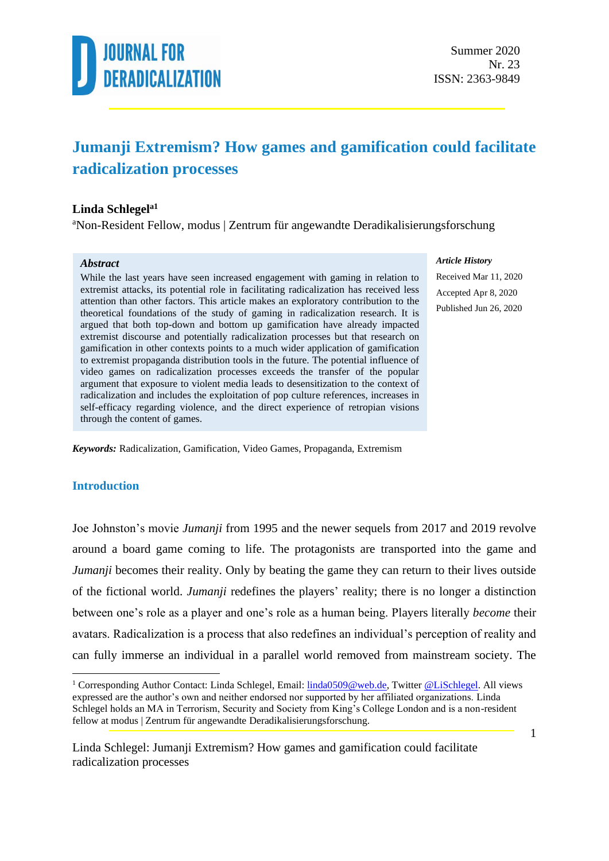

#### **Jumanji Extremism? How games and gamification could facilitate radicalization processes**

#### **Linda Schlegela1**

<sup>a</sup>Non-Resident Fellow, modus | Zentrum für angewandte Deradikalisierungsforschung

#### *Abstract*

While the last years have seen increased engagement with gaming in relation to extremist attacks, its potential role in facilitating radicalization has received less attention than other factors. This article makes an exploratory contribution to the theoretical foundations of the study of gaming in radicalization research. It is argued that both top-down and bottom up gamification have already impacted extremist discourse and potentially radicalization processes but that research on gamification in other contexts points to a much wider application of gamification to extremist propaganda distribution tools in the future. The potential influence of video games on radicalization processes exceeds the transfer of the popular argument that exposure to violent media leads to desensitization to the context of radicalization and includes the exploitation of pop culture references, increases in self-efficacy regarding violence, and the direct experience of retropian visions through the content of games.

*Article History*

Received Mar 11, 2020 Accepted Apr 8, 2020 Published Jun 26, 2020

*Keywords:* Radicalization, Gamification, Video Games, Propaganda, Extremism

#### **Introduction**

Joe Johnston's movie *Jumanji* from 1995 and the newer sequels from 2017 and 2019 revolve around a board game coming to life. The protagonists are transported into the game and *Jumanji* becomes their reality. Only by beating the game they can return to their lives outside of the fictional world. *Jumanji* redefines the players' reality; there is no longer a distinction between one's role as a player and one's role as a human being. Players literally *become* their avatars. Radicalization is a process that also redefines an individual's perception of reality and can fully immerse an individual in a parallel world removed from mainstream society. The

<sup>&</sup>lt;sup>1</sup> Corresponding Author Contact: Linda Schlegel, Email: **linda0509@web.de**, Twitter [@LiSchlegel.](https://twitter.com/LiSchlegel) All views expressed are the author's own and neither endorsed nor supported by her affiliated organizations. Linda Schlegel holds an MA in Terrorism, Security and Society from King's College London and is a non-resident fellow at modus | Zentrum für angewandte Deradikalisierungsforschung.

Linda Schlegel: Jumanji Extremism? How games and gamification could facilitate radicalization processes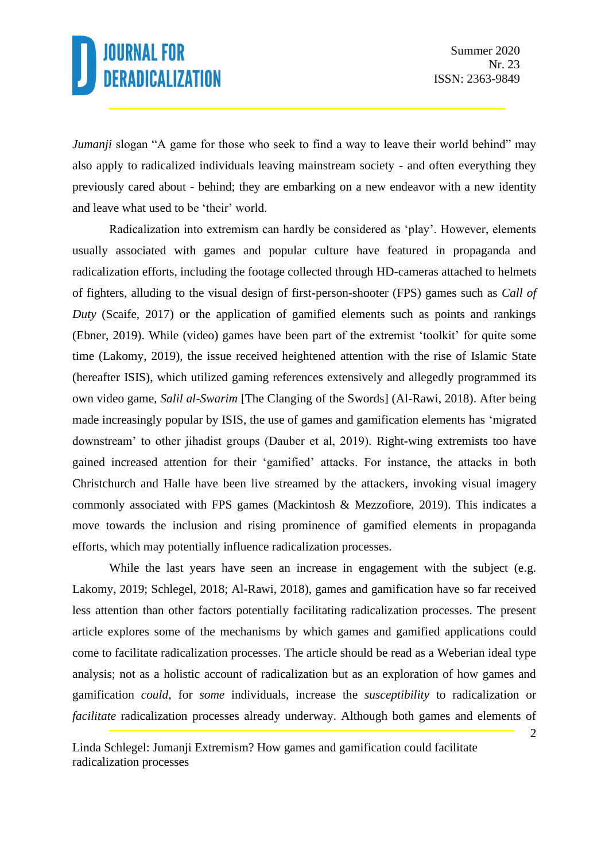*Jumanji* slogan "A game for those who seek to find a way to leave their world behind" may also apply to radicalized individuals leaving mainstream society - and often everything they previously cared about - behind; they are embarking on a new endeavor with a new identity and leave what used to be 'their' world.

Radicalization into extremism can hardly be considered as 'play'. However, elements usually associated with games and popular culture have featured in propaganda and radicalization efforts, including the footage collected through HD-cameras attached to helmets of fighters, alluding to the visual design of first-person-shooter (FPS) games such as *Call of Duty* (Scaife, 2017) or the application of gamified elements such as points and rankings (Ebner, 2019). While (video) games have been part of the extremist 'toolkit' for quite some time (Lakomy, 2019), the issue received heightened attention with the rise of Islamic State (hereafter ISIS), which utilized gaming references extensively and allegedly programmed its own video game, *Salil al-Swarim* [The Clanging of the Swords] (Al-Rawi, 2018). After being made increasingly popular by ISIS, the use of games and gamification elements has 'migrated downstream' to other jihadist groups (Dauber et al, 2019). Right-wing extremists too have gained increased attention for their 'gamified' attacks. For instance, the attacks in both Christchurch and Halle have been live streamed by the attackers, invoking visual imagery commonly associated with FPS games (Mackintosh & Mezzofiore, 2019). This indicates a move towards the inclusion and rising prominence of gamified elements in propaganda efforts, which may potentially influence radicalization processes.

While the last years have seen an increase in engagement with the subject (e.g. Lakomy, 2019; Schlegel, 2018; Al-Rawi, 2018), games and gamification have so far received less attention than other factors potentially facilitating radicalization processes. The present article explores some of the mechanisms by which games and gamified applications could come to facilitate radicalization processes. The article should be read as a Weberian ideal type analysis; not as a holistic account of radicalization but as an exploration of how games and gamification *could*, for *some* individuals, increase the *susceptibility* to radicalization or *facilitate* radicalization processes already underway. Although both games and elements of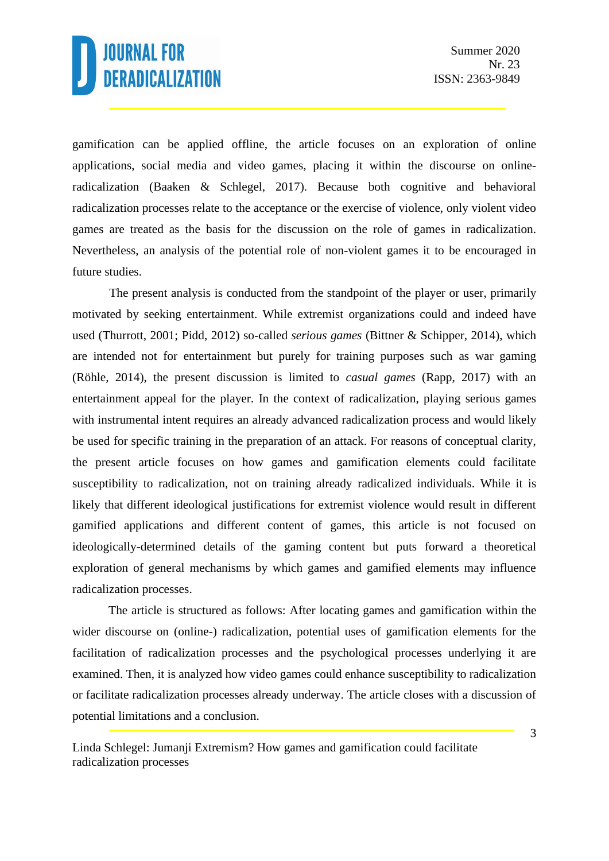gamification can be applied offline, the article focuses on an exploration of online applications, social media and video games, placing it within the discourse on onlineradicalization (Baaken & Schlegel, 2017). Because both cognitive and behavioral radicalization processes relate to the acceptance or the exercise of violence, only violent video games are treated as the basis for the discussion on the role of games in radicalization. Nevertheless, an analysis of the potential role of non-violent games it to be encouraged in future studies.

The present analysis is conducted from the standpoint of the player or user, primarily motivated by seeking entertainment. While extremist organizations could and indeed have used (Thurrott, 2001; Pidd, 2012) so-called *serious games* (Bittner & Schipper, 2014), which are intended not for entertainment but purely for training purposes such as war gaming (Röhle, 2014), the present discussion is limited to *casual games* (Rapp, 2017) with an entertainment appeal for the player. In the context of radicalization, playing serious games with instrumental intent requires an already advanced radicalization process and would likely be used for specific training in the preparation of an attack. For reasons of conceptual clarity, the present article focuses on how games and gamification elements could facilitate susceptibility to radicalization, not on training already radicalized individuals. While it is likely that different ideological justifications for extremist violence would result in different gamified applications and different content of games, this article is not focused on ideologically-determined details of the gaming content but puts forward a theoretical exploration of general mechanisms by which games and gamified elements may influence radicalization processes.

The article is structured as follows: After locating games and gamification within the wider discourse on (online-) radicalization, potential uses of gamification elements for the facilitation of radicalization processes and the psychological processes underlying it are examined. Then, it is analyzed how video games could enhance susceptibility to radicalization or facilitate radicalization processes already underway. The article closes with a discussion of potential limitations and a conclusion.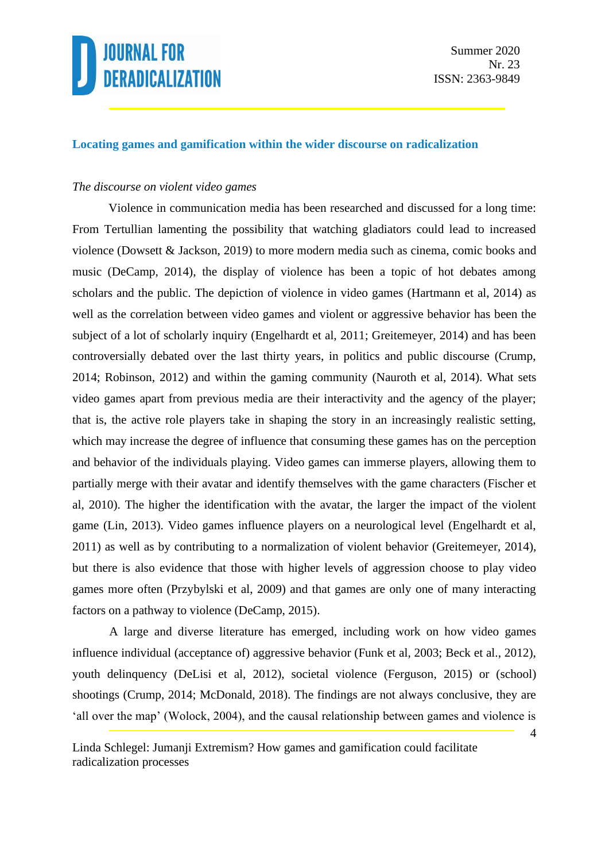

#### **Locating games and gamification within the wider discourse on radicalization**

#### *The discourse on violent video games*

Violence in communication media has been researched and discussed for a long time: From Tertullian lamenting the possibility that watching gladiators could lead to increased violence (Dowsett & Jackson, 2019) to more modern media such as cinema, comic books and music (DeCamp, 2014), the display of violence has been a topic of hot debates among scholars and the public. The depiction of violence in video games (Hartmann et al, 2014) as well as the correlation between video games and violent or aggressive behavior has been the subject of a lot of scholarly inquiry (Engelhardt et al, 2011; Greitemeyer, 2014) and has been controversially debated over the last thirty years, in politics and public discourse (Crump, 2014; Robinson, 2012) and within the gaming community (Nauroth et al, 2014). What sets video games apart from previous media are their interactivity and the agency of the player; that is, the active role players take in shaping the story in an increasingly realistic setting, which may increase the degree of influence that consuming these games has on the perception and behavior of the individuals playing. Video games can immerse players, allowing them to partially merge with their avatar and identify themselves with the game characters (Fischer et al, 2010). The higher the identification with the avatar, the larger the impact of the violent game (Lin, 2013). Video games influence players on a neurological level (Engelhardt et al, 2011) as well as by contributing to a normalization of violent behavior (Greitemeyer, 2014), but there is also evidence that those with higher levels of aggression choose to play video games more often (Przybylski et al, 2009) and that games are only one of many interacting factors on a pathway to violence (DeCamp, 2015).

A large and diverse literature has emerged, including work on how video games influence individual (acceptance of) aggressive behavior (Funk et al, 2003; Beck et al., 2012), youth delinquency (DeLisi et al, 2012), societal violence (Ferguson, 2015) or (school) shootings (Crump, 2014; McDonald, 2018). The findings are not always conclusive, they are 'all over the map' (Wolock, 2004), and the causal relationship between games and violence is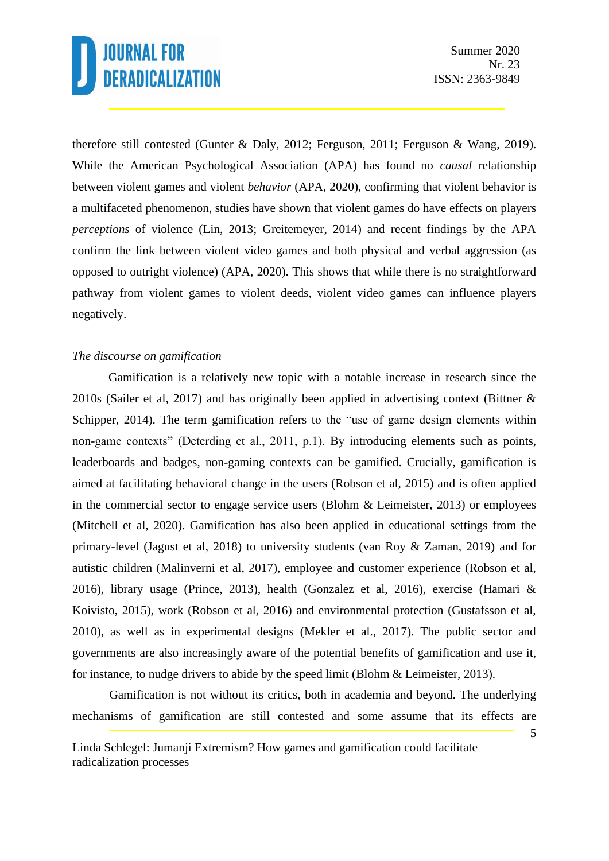therefore still contested (Gunter & Daly, 2012; Ferguson, 2011; Ferguson & Wang, 2019). While the American Psychological Association (APA) has found no *causal* relationship between violent games and violent *behavior* (APA, 2020), confirming that violent behavior is a multifaceted phenomenon, studies have shown that violent games do have effects on players *perceptions* of violence (Lin, 2013; Greitemeyer, 2014) and recent findings by the APA confirm the link between violent video games and both physical and verbal aggression (as opposed to outright violence) (APA, 2020). This shows that while there is no straightforward pathway from violent games to violent deeds, violent video games can influence players negatively.

#### *The discourse on gamification*

Gamification is a relatively new topic with a notable increase in research since the 2010s (Sailer et al, 2017) and has originally been applied in advertising context (Bittner & Schipper, 2014). The term gamification refers to the "use of game design elements within non-game contexts" (Deterding et al., 2011, p.1). By introducing elements such as points, leaderboards and badges, non-gaming contexts can be gamified. Crucially, gamification is aimed at facilitating behavioral change in the users (Robson et al, 2015) and is often applied in the commercial sector to engage service users (Blohm & Leimeister, 2013) or employees (Mitchell et al, 2020). Gamification has also been applied in educational settings from the primary-level (Jagust et al, 2018) to university students (van Roy & Zaman, 2019) and for autistic children (Malinverni et al, 2017), employee and customer experience (Robson et al, 2016), library usage (Prince, 2013), health (Gonzalez et al, 2016), exercise (Hamari & Koivisto, 2015), work (Robson et al, 2016) and environmental protection (Gustafsson et al, 2010), as well as in experimental designs (Mekler et al., 2017). The public sector and governments are also increasingly aware of the potential benefits of gamification and use it, for instance, to nudge drivers to abide by the speed limit (Blohm & Leimeister, 2013).

Gamification is not without its critics, both in academia and beyond. The underlying mechanisms of gamification are still contested and some assume that its effects are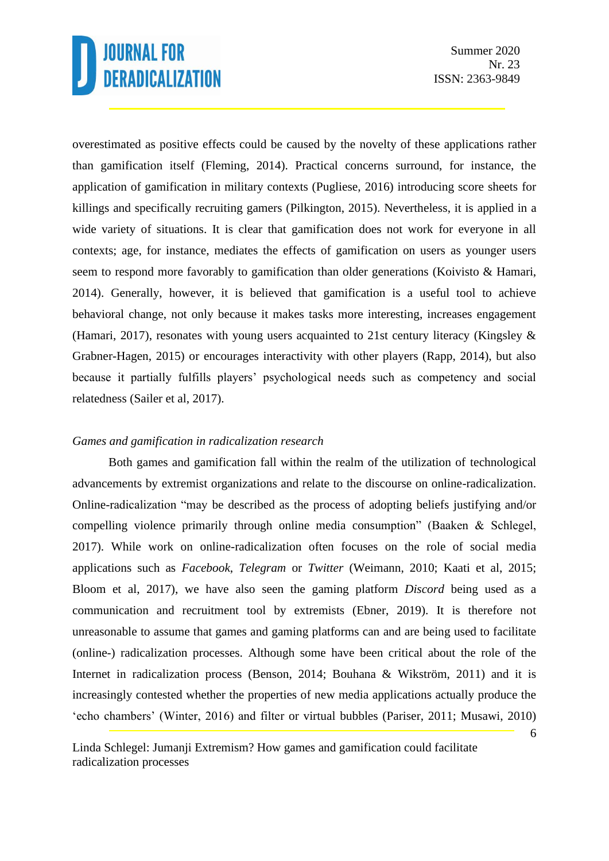overestimated as positive effects could be caused by the novelty of these applications rather than gamification itself (Fleming, 2014). Practical concerns surround, for instance, the application of gamification in military contexts (Pugliese, 2016) introducing score sheets for killings and specifically recruiting gamers (Pilkington, 2015). Nevertheless, it is applied in a wide variety of situations. It is clear that gamification does not work for everyone in all contexts; age, for instance, mediates the effects of gamification on users as younger users seem to respond more favorably to gamification than older generations (Koivisto & Hamari, 2014). Generally, however, it is believed that gamification is a useful tool to achieve behavioral change, not only because it makes tasks more interesting, increases engagement (Hamari, 2017), resonates with young users acquainted to 21st century literacy (Kingsley & Grabner-Hagen, 2015) or encourages interactivity with other players (Rapp, 2014), but also because it partially fulfills players' psychological needs such as competency and social relatedness (Sailer et al, 2017).

#### *Games and gamification in radicalization research*

Both games and gamification fall within the realm of the utilization of technological advancements by extremist organizations and relate to the discourse on online-radicalization. Online-radicalization "may be described as the process of adopting beliefs justifying and/or compelling violence primarily through online media consumption" (Baaken & Schlegel, 2017). While work on online-radicalization often focuses on the role of social media applications such as *Facebook*, *Telegram* or *Twitter* (Weimann, 2010; Kaati et al, 2015; Bloom et al, 2017), we have also seen the gaming platform *Discord* being used as a communication and recruitment tool by extremists (Ebner, 2019). It is therefore not unreasonable to assume that games and gaming platforms can and are being used to facilitate (online-) radicalization processes. Although some have been critical about the role of the Internet in radicalization process (Benson, 2014; Bouhana & Wikström, 2011) and it is increasingly contested whether the properties of new media applications actually produce the 'echo chambers' (Winter, 2016) and filter or virtual bubbles (Pariser, 2011; Musawi, 2010)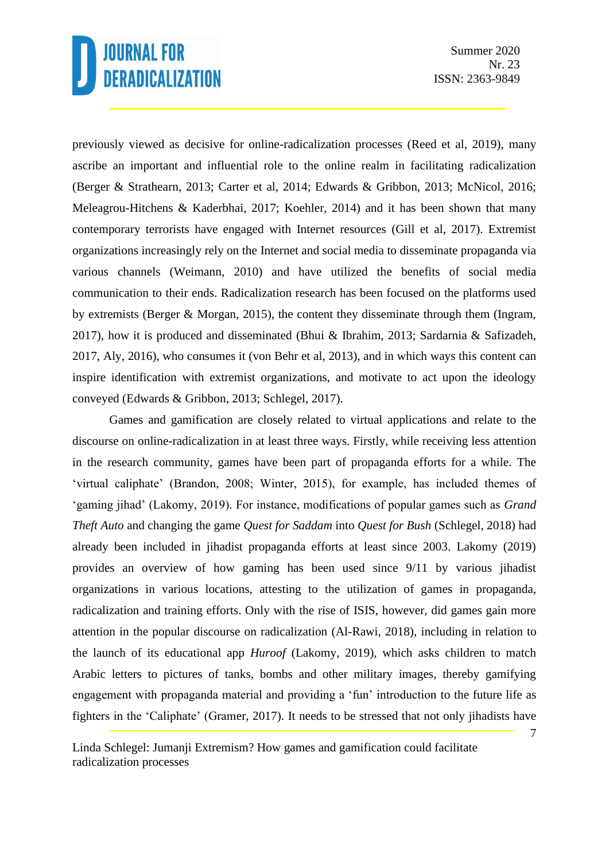previously viewed as decisive for online-radicalization processes (Reed et al, 2019), many ascribe an important and influential role to the online realm in facilitating radicalization (Berger & Strathearn, 2013; Carter et al, 2014; Edwards & Gribbon, 2013; McNicol, 2016; Meleagrou-Hitchens & Kaderbhai, 2017; Koehler, 2014) and it has been shown that many contemporary terrorists have engaged with Internet resources (Gill et al, 2017). Extremist organizations increasingly rely on the Internet and social media to disseminate propaganda via various channels (Weimann, 2010) and have utilized the benefits of social media communication to their ends. Radicalization research has been focused on the platforms used by extremists (Berger & Morgan, 2015), the content they disseminate through them (Ingram, 2017), how it is produced and disseminated (Bhui & Ibrahim, 2013; Sardarnia & Safizadeh, 2017, Aly, 2016), who consumes it (von Behr et al, 2013), and in which ways this content can inspire identification with extremist organizations, and motivate to act upon the ideology conveyed (Edwards & Gribbon, 2013; Schlegel, 2017).

Games and gamification are closely related to virtual applications and relate to the discourse on online-radicalization in at least three ways. Firstly, while receiving less attention in the research community, games have been part of propaganda efforts for a while. The 'virtual caliphate' (Brandon, 2008; Winter, 2015), for example, has included themes of 'gaming jihad' (Lakomy, 2019). For instance, modifications of popular games such as *Grand Theft Auto* and changing the game *Quest for Saddam* into *Quest for Bush* (Schlegel, 2018) had already been included in jihadist propaganda efforts at least since 2003. Lakomy (2019) provides an overview of how gaming has been used since 9/11 by various jihadist organizations in various locations, attesting to the utilization of games in propaganda, radicalization and training efforts. Only with the rise of ISIS, however, did games gain more attention in the popular discourse on radicalization (Al-Rawi, 2018), including in relation to the launch of its educational app *Huroof* (Lakomy, 2019), which asks children to match Arabic letters to pictures of tanks, bombs and other military images, thereby gamifying engagement with propaganda material and providing a 'fun' introduction to the future life as fighters in the 'Caliphate' (Gramer, 2017). It needs to be stressed that not only jihadists have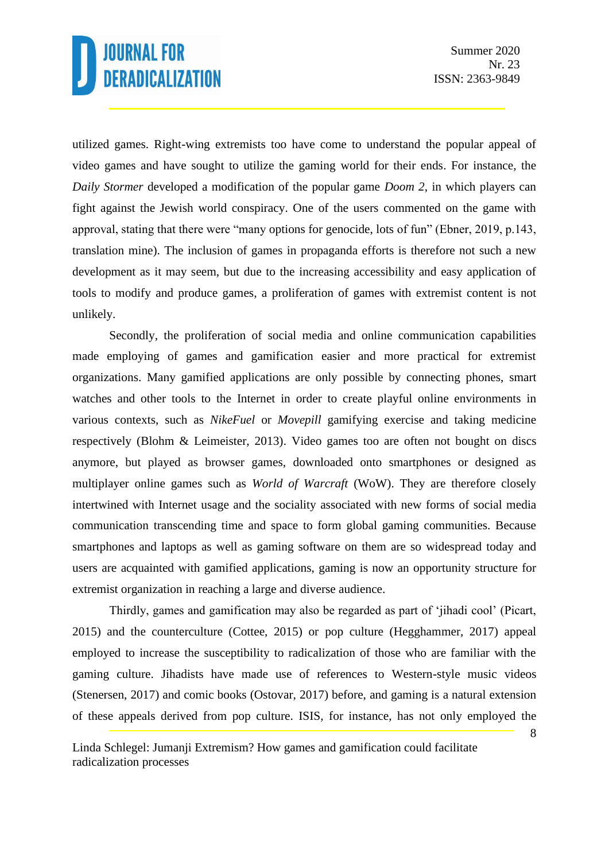utilized games. Right-wing extremists too have come to understand the popular appeal of video games and have sought to utilize the gaming world for their ends. For instance, the *Daily Stormer* developed a modification of the popular game *Doom 2*, in which players can fight against the Jewish world conspiracy. One of the users commented on the game with approval, stating that there were "many options for genocide, lots of fun" (Ebner, 2019, p.143, translation mine). The inclusion of games in propaganda efforts is therefore not such a new development as it may seem, but due to the increasing accessibility and easy application of tools to modify and produce games, a proliferation of games with extremist content is not unlikely.

Secondly, the proliferation of social media and online communication capabilities made employing of games and gamification easier and more practical for extremist organizations. Many gamified applications are only possible by connecting phones, smart watches and other tools to the Internet in order to create playful online environments in various contexts, such as *NikeFuel* or *Movepill* gamifying exercise and taking medicine respectively (Blohm & Leimeister, 2013). Video games too are often not bought on discs anymore, but played as browser games, downloaded onto smartphones or designed as multiplayer online games such as *World of Warcraft* (WoW). They are therefore closely intertwined with Internet usage and the sociality associated with new forms of social media communication transcending time and space to form global gaming communities. Because smartphones and laptops as well as gaming software on them are so widespread today and users are acquainted with gamified applications, gaming is now an opportunity structure for extremist organization in reaching a large and diverse audience.

Thirdly, games and gamification may also be regarded as part of 'jihadi cool' (Picart, 2015) and the counterculture (Cottee, 2015) or pop culture (Hegghammer, 2017) appeal employed to increase the susceptibility to radicalization of those who are familiar with the gaming culture. Jihadists have made use of references to Western-style music videos (Stenersen, 2017) and comic books (Ostovar, 2017) before, and gaming is a natural extension of these appeals derived from pop culture. ISIS, for instance, has not only employed the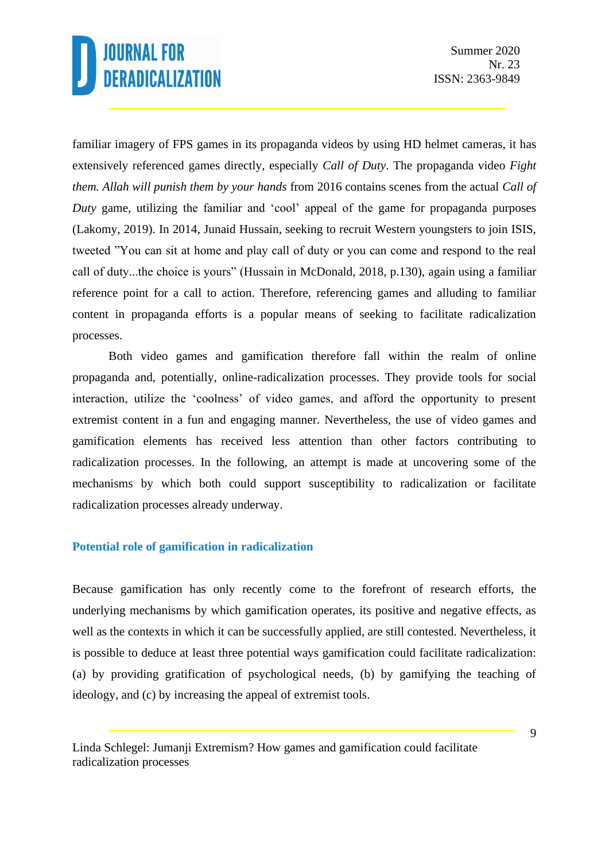familiar imagery of FPS games in its propaganda videos by using HD helmet cameras, it has extensively referenced games directly, especially *Call of Duty*. The propaganda video *Fight them. Allah will punish them by your hands* from 2016 contains scenes from the actual *Call of Duty* game, utilizing the familiar and 'cool' appeal of the game for propaganda purposes (Lakomy, 2019). In 2014, Junaid Hussain, seeking to recruit Western youngsters to join ISIS, tweeted "You can sit at home and play call of duty or you can come and respond to the real call of duty...the choice is yours" (Hussain in McDonald, 2018, p.130), again using a familiar reference point for a call to action. Therefore, referencing games and alluding to familiar content in propaganda efforts is a popular means of seeking to facilitate radicalization processes.

Both video games and gamification therefore fall within the realm of online propaganda and, potentially, online-radicalization processes. They provide tools for social interaction, utilize the 'coolness' of video games, and afford the opportunity to present extremist content in a fun and engaging manner. Nevertheless, the use of video games and gamification elements has received less attention than other factors contributing to radicalization processes. In the following, an attempt is made at uncovering some of the mechanisms by which both could support susceptibility to radicalization or facilitate radicalization processes already underway.

#### **Potential role of gamification in radicalization**

Because gamification has only recently come to the forefront of research efforts, the underlying mechanisms by which gamification operates, its positive and negative effects, as well as the contexts in which it can be successfully applied, are still contested. Nevertheless, it is possible to deduce at least three potential ways gamification could facilitate radicalization: (a) by providing gratification of psychological needs, (b) by gamifying the teaching of ideology, and (c) by increasing the appeal of extremist tools.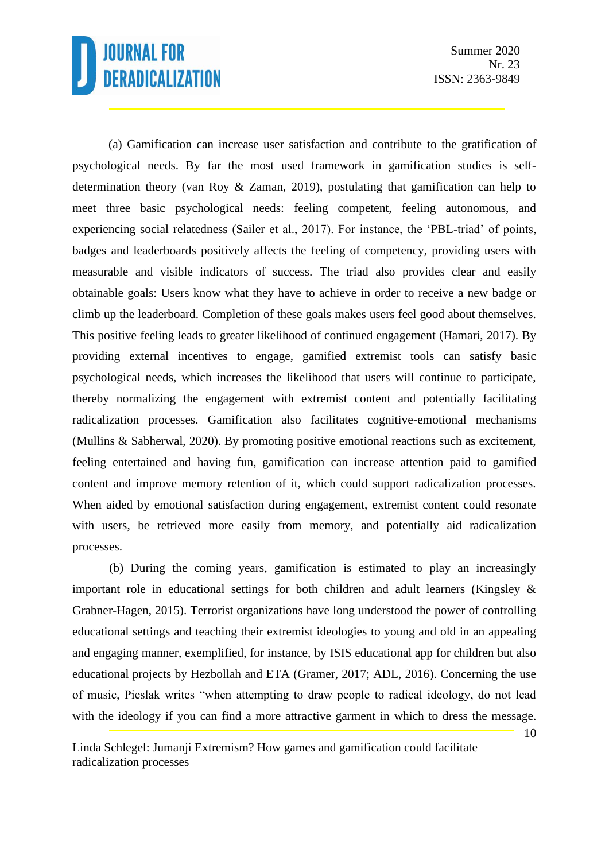Summer 2020 Nr. 23 ISSN: 2363-9849

(a) Gamification can increase user satisfaction and contribute to the gratification of psychological needs. By far the most used framework in gamification studies is selfdetermination theory (van Roy & Zaman, 2019), postulating that gamification can help to meet three basic psychological needs: feeling competent, feeling autonomous, and experiencing social relatedness (Sailer et al., 2017). For instance, the 'PBL-triad' of points, badges and leaderboards positively affects the feeling of competency, providing users with measurable and visible indicators of success. The triad also provides clear and easily obtainable goals: Users know what they have to achieve in order to receive a new badge or climb up the leaderboard. Completion of these goals makes users feel good about themselves. This positive feeling leads to greater likelihood of continued engagement (Hamari, 2017). By providing external incentives to engage, gamified extremist tools can satisfy basic psychological needs, which increases the likelihood that users will continue to participate, thereby normalizing the engagement with extremist content and potentially facilitating radicalization processes. Gamification also facilitates cognitive-emotional mechanisms (Mullins & Sabherwal, 2020). By promoting positive emotional reactions such as excitement, feeling entertained and having fun, gamification can increase attention paid to gamified content and improve memory retention of it, which could support radicalization processes. When aided by emotional satisfaction during engagement, extremist content could resonate with users, be retrieved more easily from memory, and potentially aid radicalization processes.

(b) During the coming years, gamification is estimated to play an increasingly important role in educational settings for both children and adult learners (Kingsley & Grabner-Hagen, 2015). Terrorist organizations have long understood the power of controlling educational settings and teaching their extremist ideologies to young and old in an appealing and engaging manner, exemplified, for instance, by ISIS educational app for children but also educational projects by Hezbollah and ETA (Gramer, 2017; ADL, 2016). Concerning the use of music, Pieslak writes "when attempting to draw people to radical ideology, do not lead with the ideology if you can find a more attractive garment in which to dress the message.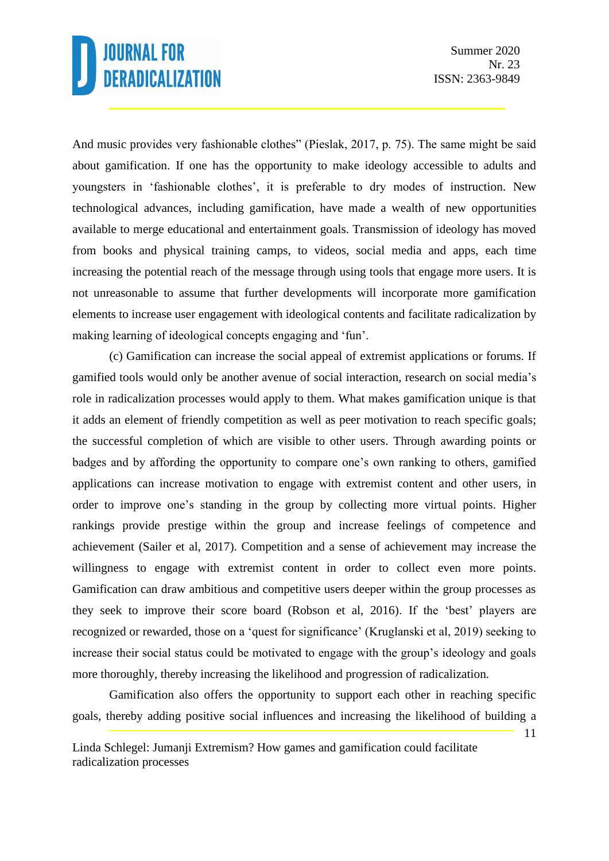And music provides very fashionable clothes" (Pieslak, 2017, p. 75). The same might be said about gamification. If one has the opportunity to make ideology accessible to adults and youngsters in 'fashionable clothes', it is preferable to dry modes of instruction. New technological advances, including gamification, have made a wealth of new opportunities available to merge educational and entertainment goals. Transmission of ideology has moved from books and physical training camps, to videos, social media and apps, each time increasing the potential reach of the message through using tools that engage more users. It is not unreasonable to assume that further developments will incorporate more gamification elements to increase user engagement with ideological contents and facilitate radicalization by making learning of ideological concepts engaging and 'fun'.

(c) Gamification can increase the social appeal of extremist applications or forums. If gamified tools would only be another avenue of social interaction, research on social media's role in radicalization processes would apply to them. What makes gamification unique is that it adds an element of friendly competition as well as peer motivation to reach specific goals; the successful completion of which are visible to other users. Through awarding points or badges and by affording the opportunity to compare one's own ranking to others, gamified applications can increase motivation to engage with extremist content and other users, in order to improve one's standing in the group by collecting more virtual points. Higher rankings provide prestige within the group and increase feelings of competence and achievement (Sailer et al, 2017). Competition and a sense of achievement may increase the willingness to engage with extremist content in order to collect even more points. Gamification can draw ambitious and competitive users deeper within the group processes as they seek to improve their score board (Robson et al, 2016). If the 'best' players are recognized or rewarded, those on a 'quest for significance' (Kruglanski et al, 2019) seeking to increase their social status could be motivated to engage with the group's ideology and goals more thoroughly, thereby increasing the likelihood and progression of radicalization.

Gamification also offers the opportunity to support each other in reaching specific goals, thereby adding positive social influences and increasing the likelihood of building a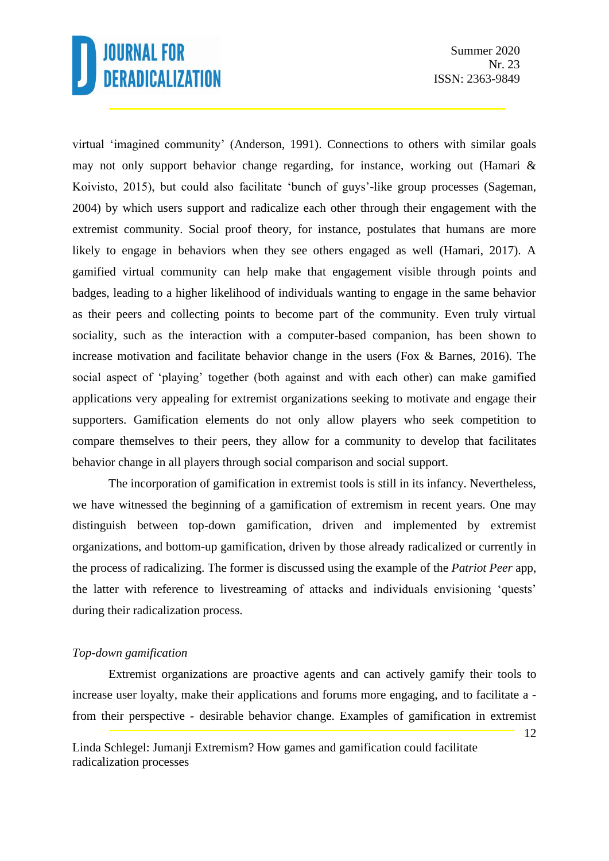Summer 2020 Nr. 23 ISSN: 2363-9849

virtual 'imagined community' (Anderson, 1991). Connections to others with similar goals may not only support behavior change regarding, for instance, working out (Hamari & Koivisto, 2015), but could also facilitate 'bunch of guys'-like group processes (Sageman, 2004) by which users support and radicalize each other through their engagement with the extremist community. Social proof theory, for instance, postulates that humans are more likely to engage in behaviors when they see others engaged as well (Hamari, 2017). A gamified virtual community can help make that engagement visible through points and badges, leading to a higher likelihood of individuals wanting to engage in the same behavior as their peers and collecting points to become part of the community. Even truly virtual sociality, such as the interaction with a computer-based companion, has been shown to increase motivation and facilitate behavior change in the users (Fox & Barnes, 2016). The social aspect of 'playing' together (both against and with each other) can make gamified applications very appealing for extremist organizations seeking to motivate and engage their supporters. Gamification elements do not only allow players who seek competition to compare themselves to their peers, they allow for a community to develop that facilitates behavior change in all players through social comparison and social support.

The incorporation of gamification in extremist tools is still in its infancy. Nevertheless, we have witnessed the beginning of a gamification of extremism in recent years. One may distinguish between top-down gamification, driven and implemented by extremist organizations, and bottom-up gamification, driven by those already radicalized or currently in the process of radicalizing. The former is discussed using the example of the *Patriot Peer* app, the latter with reference to livestreaming of attacks and individuals envisioning 'quests' during their radicalization process.

#### *Top-down gamification*

Extremist organizations are proactive agents and can actively gamify their tools to increase user loyalty, make their applications and forums more engaging, and to facilitate a from their perspective - desirable behavior change. Examples of gamification in extremist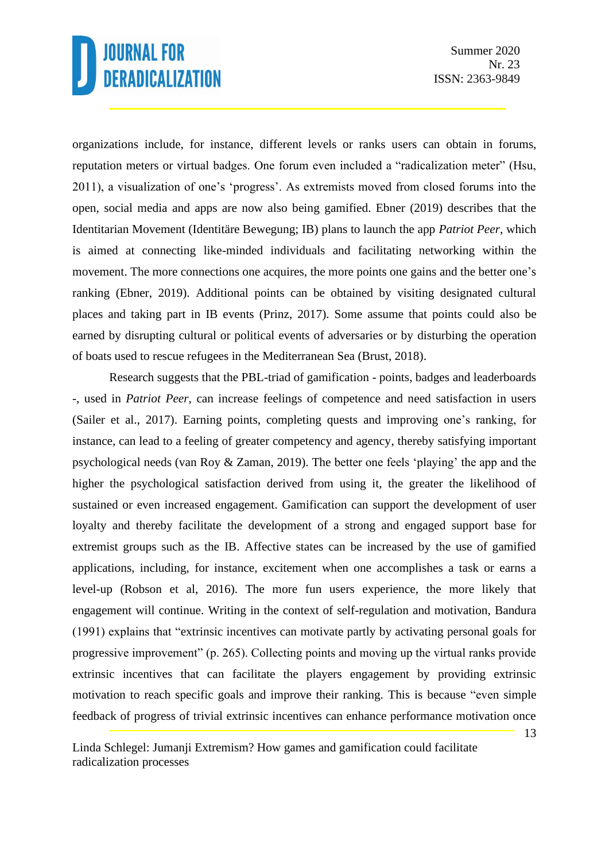organizations include, for instance, different levels or ranks users can obtain in forums, reputation meters or virtual badges. One forum even included a "radicalization meter" (Hsu, 2011), a visualization of one's 'progress'. As extremists moved from closed forums into the open, social media and apps are now also being gamified. Ebner (2019) describes that the Identitarian Movement (Identitäre Bewegung; IB) plans to launch the app *Patriot Peer*, which is aimed at connecting like-minded individuals and facilitating networking within the movement. The more connections one acquires, the more points one gains and the better one's ranking (Ebner, 2019). Additional points can be obtained by visiting designated cultural places and taking part in IB events (Prinz, 2017). Some assume that points could also be earned by disrupting cultural or political events of adversaries or by disturbing the operation of boats used to rescue refugees in the Mediterranean Sea (Brust, 2018).

Research suggests that the PBL-triad of gamification - points, badges and leaderboards -, used in *Patriot Peer*, can increase feelings of competence and need satisfaction in users (Sailer et al., 2017). Earning points, completing quests and improving one's ranking, for instance, can lead to a feeling of greater competency and agency, thereby satisfying important psychological needs (van Roy & Zaman, 2019). The better one feels 'playing' the app and the higher the psychological satisfaction derived from using it, the greater the likelihood of sustained or even increased engagement. Gamification can support the development of user loyalty and thereby facilitate the development of a strong and engaged support base for extremist groups such as the IB. Affective states can be increased by the use of gamified applications, including, for instance, excitement when one accomplishes a task or earns a level-up (Robson et al, 2016). The more fun users experience, the more likely that engagement will continue. Writing in the context of self-regulation and motivation, Bandura (1991) explains that "extrinsic incentives can motivate partly by activating personal goals for progressive improvement" (p. 265). Collecting points and moving up the virtual ranks provide extrinsic incentives that can facilitate the players engagement by providing extrinsic motivation to reach specific goals and improve their ranking. This is because "even simple feedback of progress of trivial extrinsic incentives can enhance performance motivation once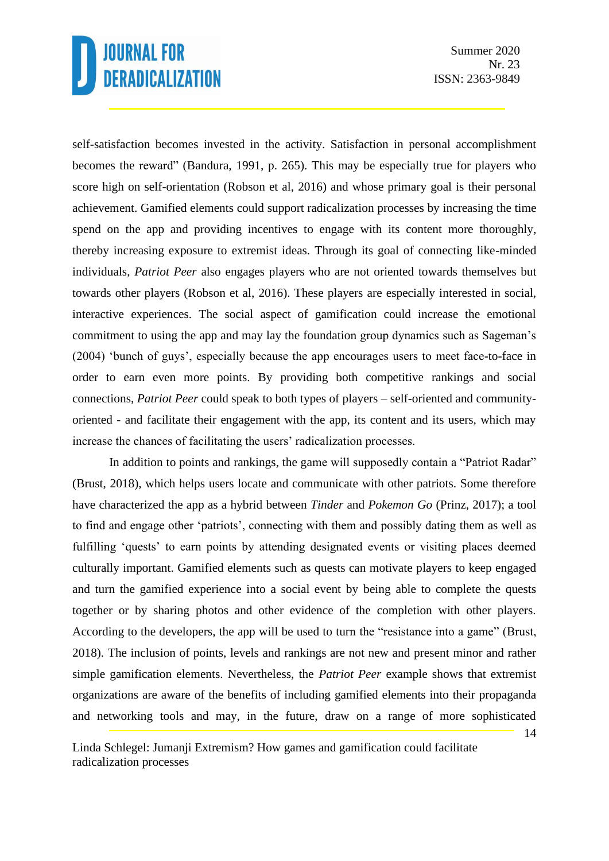Summer 2020 Nr. 23 ISSN: 2363-9849

self-satisfaction becomes invested in the activity. Satisfaction in personal accomplishment becomes the reward" (Bandura, 1991, p. 265). This may be especially true for players who score high on self-orientation (Robson et al, 2016) and whose primary goal is their personal achievement. Gamified elements could support radicalization processes by increasing the time spend on the app and providing incentives to engage with its content more thoroughly, thereby increasing exposure to extremist ideas. Through its goal of connecting like-minded individuals, *Patriot Peer* also engages players who are not oriented towards themselves but towards other players (Robson et al, 2016). These players are especially interested in social, interactive experiences. The social aspect of gamification could increase the emotional commitment to using the app and may lay the foundation group dynamics such as Sageman's (2004) 'bunch of guys', especially because the app encourages users to meet face-to-face in order to earn even more points. By providing both competitive rankings and social connections, *Patriot Peer* could speak to both types of players – self-oriented and communityoriented - and facilitate their engagement with the app, its content and its users, which may increase the chances of facilitating the users' radicalization processes.

In addition to points and rankings, the game will supposedly contain a "Patriot Radar" (Brust, 2018), which helps users locate and communicate with other patriots. Some therefore have characterized the app as a hybrid between *Tinder* and *Pokemon Go* (Prinz, 2017); a tool to find and engage other 'patriots', connecting with them and possibly dating them as well as fulfilling 'quests' to earn points by attending designated events or visiting places deemed culturally important. Gamified elements such as quests can motivate players to keep engaged and turn the gamified experience into a social event by being able to complete the quests together or by sharing photos and other evidence of the completion with other players. According to the developers, the app will be used to turn the "resistance into a game" (Brust, 2018). The inclusion of points, levels and rankings are not new and present minor and rather simple gamification elements. Nevertheless, the *Patriot Peer* example shows that extremist organizations are aware of the benefits of including gamified elements into their propaganda and networking tools and may, in the future, draw on a range of more sophisticated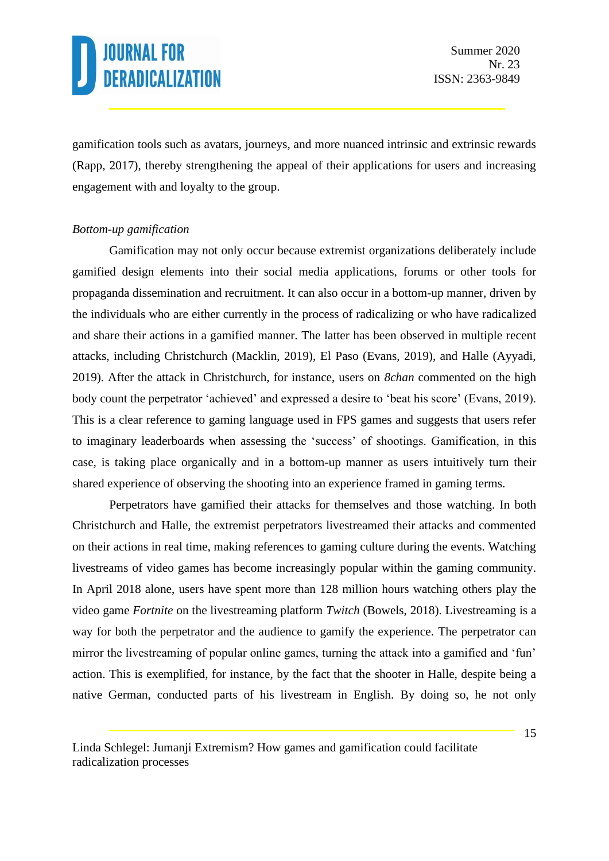gamification tools such as avatars, journeys, and more nuanced intrinsic and extrinsic rewards (Rapp, 2017), thereby strengthening the appeal of their applications for users and increasing engagement with and loyalty to the group.

#### *Bottom-up gamification*

Gamification may not only occur because extremist organizations deliberately include gamified design elements into their social media applications, forums or other tools for propaganda dissemination and recruitment. It can also occur in a bottom-up manner, driven by the individuals who are either currently in the process of radicalizing or who have radicalized and share their actions in a gamified manner. The latter has been observed in multiple recent attacks, including Christchurch (Macklin, 2019), El Paso (Evans, 2019), and Halle (Ayyadi, 2019). After the attack in Christchurch, for instance, users on *8chan* commented on the high body count the perpetrator 'achieved' and expressed a desire to 'beat his score' (Evans, 2019). This is a clear reference to gaming language used in FPS games and suggests that users refer to imaginary leaderboards when assessing the 'success' of shootings. Gamification, in this case, is taking place organically and in a bottom-up manner as users intuitively turn their shared experience of observing the shooting into an experience framed in gaming terms.

Perpetrators have gamified their attacks for themselves and those watching. In both Christchurch and Halle, the extremist perpetrators livestreamed their attacks and commented on their actions in real time, making references to gaming culture during the events. Watching livestreams of video games has become increasingly popular within the gaming community. In April 2018 alone, users have spent more than 128 million hours watching others play the video game *Fortnite* on the livestreaming platform *Twitch* (Bowels, 2018). Livestreaming is a way for both the perpetrator and the audience to gamify the experience. The perpetrator can mirror the livestreaming of popular online games, turning the attack into a gamified and 'fun' action. This is exemplified, for instance, by the fact that the shooter in Halle, despite being a native German, conducted parts of his livestream in English. By doing so, he not only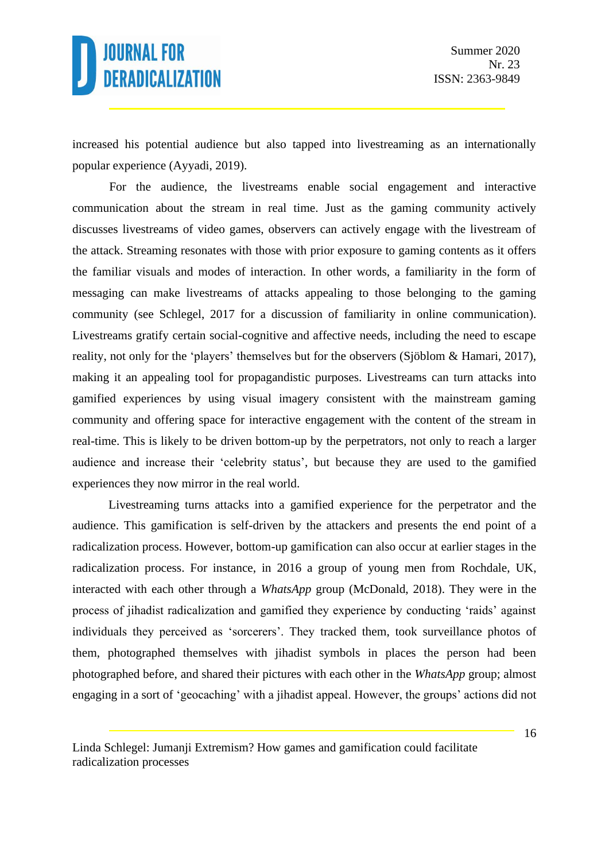increased his potential audience but also tapped into livestreaming as an internationally popular experience (Ayyadi, 2019).

For the audience, the livestreams enable social engagement and interactive communication about the stream in real time. Just as the gaming community actively discusses livestreams of video games, observers can actively engage with the livestream of the attack. Streaming resonates with those with prior exposure to gaming contents as it offers the familiar visuals and modes of interaction. In other words, a familiarity in the form of messaging can make livestreams of attacks appealing to those belonging to the gaming community (see Schlegel, 2017 for a discussion of familiarity in online communication). Livestreams gratify certain social-cognitive and affective needs, including the need to escape reality, not only for the 'players' themselves but for the observers (Sjöblom & Hamari, 2017), making it an appealing tool for propagandistic purposes. Livestreams can turn attacks into gamified experiences by using visual imagery consistent with the mainstream gaming community and offering space for interactive engagement with the content of the stream in real-time. This is likely to be driven bottom-up by the perpetrators, not only to reach a larger audience and increase their 'celebrity status', but because they are used to the gamified experiences they now mirror in the real world.

Livestreaming turns attacks into a gamified experience for the perpetrator and the audience. This gamification is self-driven by the attackers and presents the end point of a radicalization process. However, bottom-up gamification can also occur at earlier stages in the radicalization process. For instance, in 2016 a group of young men from Rochdale, UK, interacted with each other through a *WhatsApp* group (McDonald, 2018). They were in the process of jihadist radicalization and gamified they experience by conducting 'raids' against individuals they perceived as 'sorcerers'. They tracked them, took surveillance photos of them, photographed themselves with jihadist symbols in places the person had been photographed before, and shared their pictures with each other in the *WhatsApp* group; almost engaging in a sort of 'geocaching' with a jihadist appeal. However, the groups' actions did not

Linda Schlegel: Jumanji Extremism? How games and gamification could facilitate radicalization processes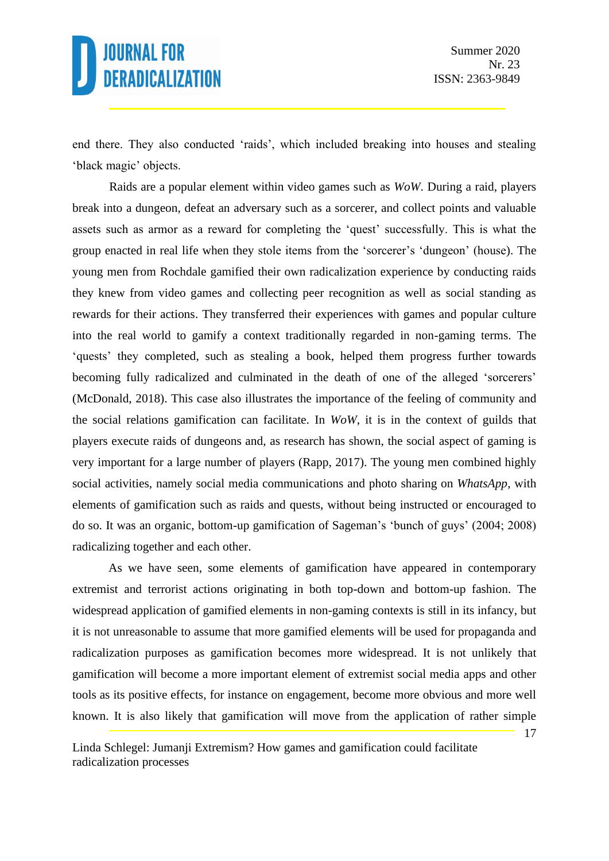end there. They also conducted 'raids', which included breaking into houses and stealing 'black magic' objects.

Raids are a popular element within video games such as *WoW*. During a raid, players break into a dungeon, defeat an adversary such as a sorcerer, and collect points and valuable assets such as armor as a reward for completing the 'quest' successfully. This is what the group enacted in real life when they stole items from the 'sorcerer's 'dungeon' (house). The young men from Rochdale gamified their own radicalization experience by conducting raids they knew from video games and collecting peer recognition as well as social standing as rewards for their actions. They transferred their experiences with games and popular culture into the real world to gamify a context traditionally regarded in non-gaming terms. The 'quests' they completed, such as stealing a book, helped them progress further towards becoming fully radicalized and culminated in the death of one of the alleged 'sorcerers' (McDonald, 2018). This case also illustrates the importance of the feeling of community and the social relations gamification can facilitate. In *WoW*, it is in the context of guilds that players execute raids of dungeons and, as research has shown, the social aspect of gaming is very important for a large number of players (Rapp, 2017). The young men combined highly social activities, namely social media communications and photo sharing on *WhatsApp*, with elements of gamification such as raids and quests, without being instructed or encouraged to do so. It was an organic, bottom-up gamification of Sageman's 'bunch of guys' (2004; 2008) radicalizing together and each other.

As we have seen, some elements of gamification have appeared in contemporary extremist and terrorist actions originating in both top-down and bottom-up fashion. The widespread application of gamified elements in non-gaming contexts is still in its infancy, but it is not unreasonable to assume that more gamified elements will be used for propaganda and radicalization purposes as gamification becomes more widespread. It is not unlikely that gamification will become a more important element of extremist social media apps and other tools as its positive effects, for instance on engagement, become more obvious and more well known. It is also likely that gamification will move from the application of rather simple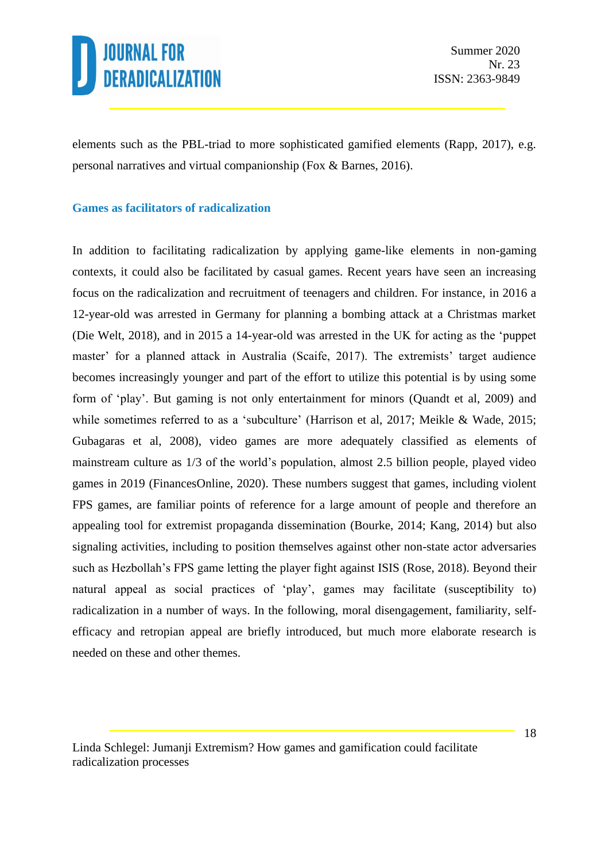

Summer 2020 Nr. 23 ISSN: 2363-9849

elements such as the PBL-triad to more sophisticated gamified elements (Rapp, 2017), e.g. personal narratives and virtual companionship (Fox & Barnes, 2016).

#### **Games as facilitators of radicalization**

In addition to facilitating radicalization by applying game-like elements in non-gaming contexts, it could also be facilitated by casual games. Recent years have seen an increasing focus on the radicalization and recruitment of teenagers and children. For instance, in 2016 a 12-year-old was arrested in Germany for planning a bombing attack at a Christmas market (Die Welt, 2018), and in 2015 a 14-year-old was arrested in the UK for acting as the 'puppet master' for a planned attack in Australia (Scaife, 2017). The extremists' target audience becomes increasingly younger and part of the effort to utilize this potential is by using some form of 'play'. But gaming is not only entertainment for minors (Quandt et al, 2009) and while sometimes referred to as a 'subculture' (Harrison et al, 2017; Meikle & Wade, 2015; Gubagaras et al, 2008), video games are more adequately classified as elements of mainstream culture as 1/3 of the world's population, almost 2.5 billion people, played video games in 2019 (FinancesOnline, 2020). These numbers suggest that games, including violent FPS games, are familiar points of reference for a large amount of people and therefore an appealing tool for extremist propaganda dissemination (Bourke, 2014; Kang, 2014) but also signaling activities, including to position themselves against other non-state actor adversaries such as Hezbollah's FPS game letting the player fight against ISIS (Rose, 2018). Beyond their natural appeal as social practices of 'play', games may facilitate (susceptibility to) radicalization in a number of ways. In the following, moral disengagement, familiarity, selfefficacy and retropian appeal are briefly introduced, but much more elaborate research is needed on these and other themes.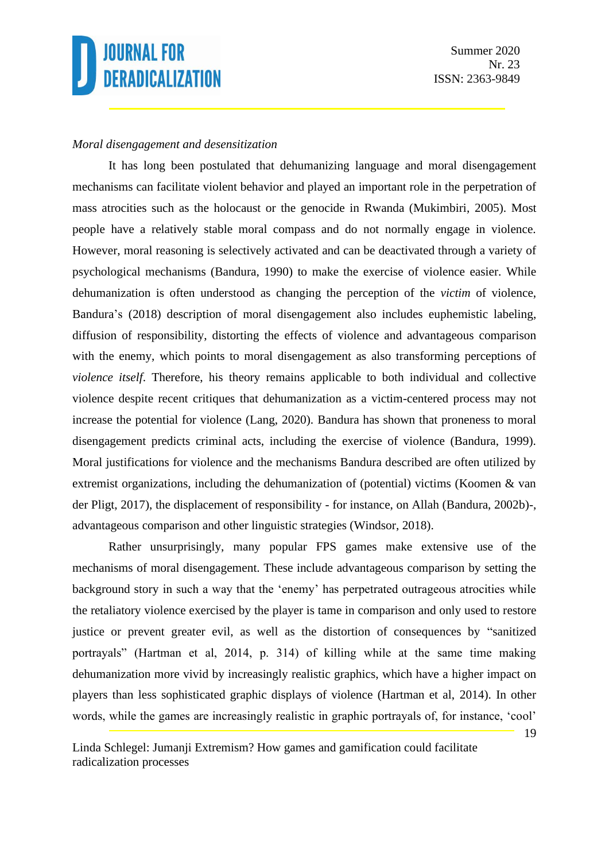#### *Moral disengagement and desensitization*

It has long been postulated that dehumanizing language and moral disengagement mechanisms can facilitate violent behavior and played an important role in the perpetration of mass atrocities such as the holocaust or the genocide in Rwanda (Mukimbiri, 2005). Most people have a relatively stable moral compass and do not normally engage in violence. However, moral reasoning is selectively activated and can be deactivated through a variety of psychological mechanisms (Bandura, 1990) to make the exercise of violence easier. While dehumanization is often understood as changing the perception of the *victim* of violence, Bandura's (2018) description of moral disengagement also includes euphemistic labeling, diffusion of responsibility, distorting the effects of violence and advantageous comparison with the enemy, which points to moral disengagement as also transforming perceptions of *violence itself*. Therefore, his theory remains applicable to both individual and collective violence despite recent critiques that dehumanization as a victim-centered process may not increase the potential for violence (Lang, 2020). Bandura has shown that proneness to moral disengagement predicts criminal acts, including the exercise of violence (Bandura, 1999). Moral justifications for violence and the mechanisms Bandura described are often utilized by extremist organizations, including the dehumanization of (potential) victims (Koomen & van der Pligt, 2017), the displacement of responsibility - for instance, on Allah (Bandura, 2002b)-, advantageous comparison and other linguistic strategies (Windsor, 2018).

Rather unsurprisingly, many popular FPS games make extensive use of the mechanisms of moral disengagement. These include advantageous comparison by setting the background story in such a way that the 'enemy' has perpetrated outrageous atrocities while the retaliatory violence exercised by the player is tame in comparison and only used to restore justice or prevent greater evil, as well as the distortion of consequences by "sanitized portrayals" (Hartman et al, 2014, p. 314) of killing while at the same time making dehumanization more vivid by increasingly realistic graphics, which have a higher impact on players than less sophisticated graphic displays of violence (Hartman et al, 2014). In other words, while the games are increasingly realistic in graphic portrayals of, for instance, 'cool'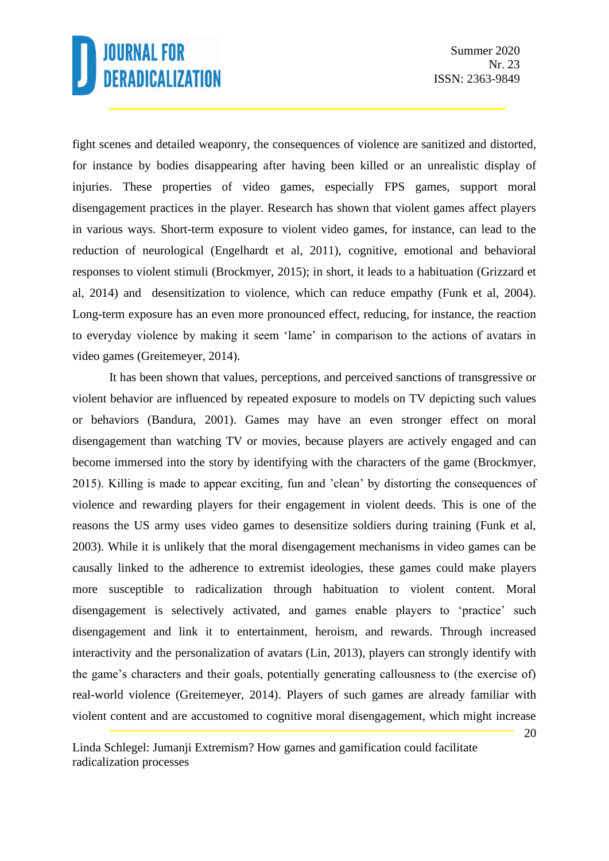fight scenes and detailed weaponry, the consequences of violence are sanitized and distorted, for instance by bodies disappearing after having been killed or an unrealistic display of injuries. These properties of video games, especially FPS games, support moral disengagement practices in the player. Research has shown that violent games affect players in various ways. Short-term exposure to violent video games, for instance, can lead to the reduction of neurological (Engelhardt et al, 2011), cognitive, emotional and behavioral responses to violent stimuli (Brockmyer, 2015); in short, it leads to a habituation (Grizzard et al, 2014) and desensitization to violence, which can reduce empathy (Funk et al, 2004). Long-term exposure has an even more pronounced effect, reducing, for instance, the reaction to everyday violence by making it seem 'lame' in comparison to the actions of avatars in video games (Greitemeyer, 2014).

It has been shown that values, perceptions, and perceived sanctions of transgressive or violent behavior are influenced by repeated exposure to models on TV depicting such values or behaviors (Bandura, 2001). Games may have an even stronger effect on moral disengagement than watching TV or movies, because players are actively engaged and can become immersed into the story by identifying with the characters of the game (Brockmyer, 2015). Killing is made to appear exciting, fun and 'clean' by distorting the consequences of violence and rewarding players for their engagement in violent deeds. This is one of the reasons the US army uses video games to desensitize soldiers during training (Funk et al, 2003). While it is unlikely that the moral disengagement mechanisms in video games can be causally linked to the adherence to extremist ideologies, these games could make players more susceptible to radicalization through habituation to violent content. Moral disengagement is selectively activated, and games enable players to 'practice' such disengagement and link it to entertainment, heroism, and rewards. Through increased interactivity and the personalization of avatars (Lin, 2013), players can strongly identify with the game's characters and their goals, potentially generating callousness to (the exercise of) real-world violence (Greitemeyer, 2014). Players of such games are already familiar with violent content and are accustomed to cognitive moral disengagement, which might increase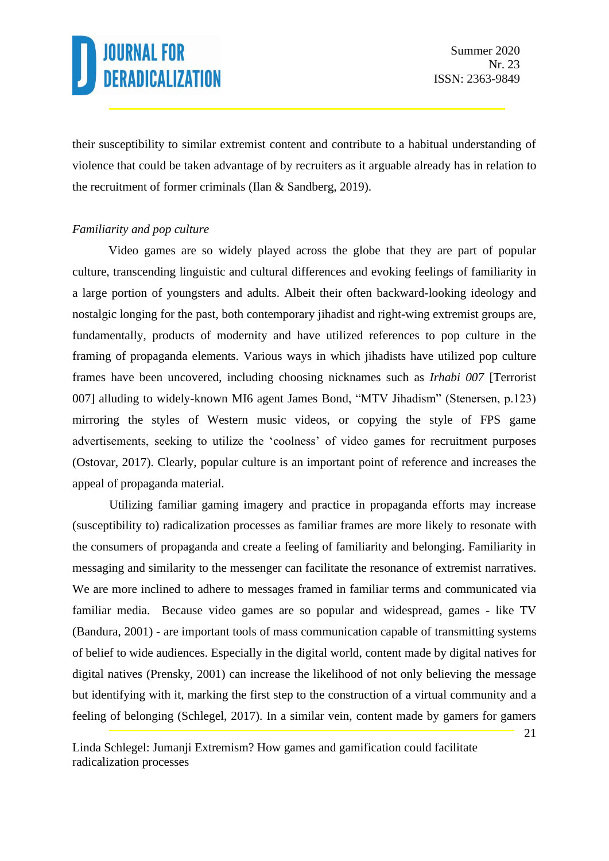their susceptibility to similar extremist content and contribute to a habitual understanding of violence that could be taken advantage of by recruiters as it arguable already has in relation to the recruitment of former criminals (Ilan & Sandberg, 2019).

#### *Familiarity and pop culture*

Video games are so widely played across the globe that they are part of popular culture, transcending linguistic and cultural differences and evoking feelings of familiarity in a large portion of youngsters and adults. Albeit their often backward-looking ideology and nostalgic longing for the past, both contemporary jihadist and right-wing extremist groups are, fundamentally, products of modernity and have utilized references to pop culture in the framing of propaganda elements. Various ways in which jihadists have utilized pop culture frames have been uncovered, including choosing nicknames such as *Irhabi 007* [Terrorist 007] alluding to widely-known MI6 agent James Bond, "MTV Jihadism" (Stenersen, p.123) mirroring the styles of Western music videos, or copying the style of FPS game advertisements, seeking to utilize the 'coolness' of video games for recruitment purposes (Ostovar, 2017). Clearly, popular culture is an important point of reference and increases the appeal of propaganda material.

Utilizing familiar gaming imagery and practice in propaganda efforts may increase (susceptibility to) radicalization processes as familiar frames are more likely to resonate with the consumers of propaganda and create a feeling of familiarity and belonging. Familiarity in messaging and similarity to the messenger can facilitate the resonance of extremist narratives. We are more inclined to adhere to messages framed in familiar terms and communicated via familiar media. Because video games are so popular and widespread, games - like TV (Bandura, 2001) - are important tools of mass communication capable of transmitting systems of belief to wide audiences. Especially in the digital world, content made by digital natives for digital natives (Prensky, 2001) can increase the likelihood of not only believing the message but identifying with it, marking the first step to the construction of a virtual community and a feeling of belonging (Schlegel, 2017). In a similar vein, content made by gamers for gamers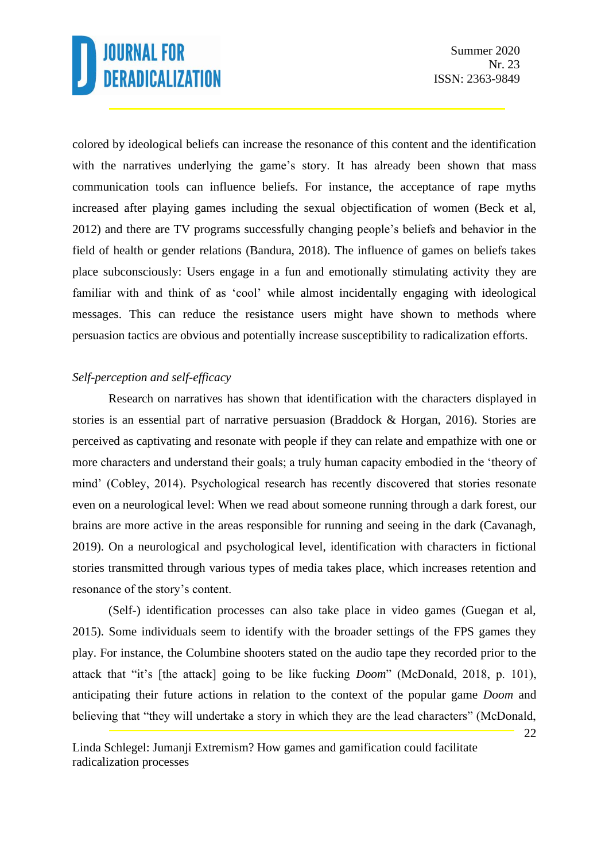colored by ideological beliefs can increase the resonance of this content and the identification with the narratives underlying the game's story. It has already been shown that mass communication tools can influence beliefs. For instance, the acceptance of rape myths increased after playing games including the sexual objectification of women (Beck et al, 2012) and there are TV programs successfully changing people's beliefs and behavior in the field of health or gender relations (Bandura, 2018). The influence of games on beliefs takes place subconsciously: Users engage in a fun and emotionally stimulating activity they are familiar with and think of as 'cool' while almost incidentally engaging with ideological messages. This can reduce the resistance users might have shown to methods where persuasion tactics are obvious and potentially increase susceptibility to radicalization efforts.

#### *Self-perception and self-efficacy*

Research on narratives has shown that identification with the characters displayed in stories is an essential part of narrative persuasion (Braddock & Horgan, 2016). Stories are perceived as captivating and resonate with people if they can relate and empathize with one or more characters and understand their goals; a truly human capacity embodied in the 'theory of mind' (Cobley, 2014). Psychological research has recently discovered that stories resonate even on a neurological level: When we read about someone running through a dark forest, our brains are more active in the areas responsible for running and seeing in the dark (Cavanagh, 2019). On a neurological and psychological level, identification with characters in fictional stories transmitted through various types of media takes place, which increases retention and resonance of the story's content.

(Self-) identification processes can also take place in video games (Guegan et al, 2015). Some individuals seem to identify with the broader settings of the FPS games they play. For instance, the Columbine shooters stated on the audio tape they recorded prior to the attack that "it's [the attack] going to be like fucking *Doom*" (McDonald, 2018, p. 101), anticipating their future actions in relation to the context of the popular game *Doom* and believing that "they will undertake a story in which they are the lead characters" (McDonald,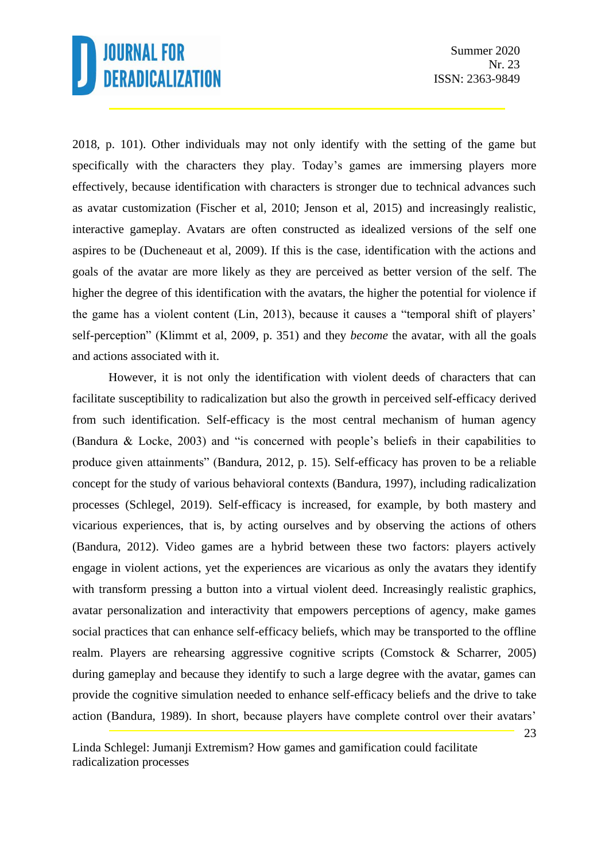2018, p. 101). Other individuals may not only identify with the setting of the game but specifically with the characters they play. Today's games are immersing players more effectively, because identification with characters is stronger due to technical advances such as avatar customization (Fischer et al, 2010; Jenson et al, 2015) and increasingly realistic, interactive gameplay. Avatars are often constructed as idealized versions of the self one aspires to be (Ducheneaut et al, 2009). If this is the case, identification with the actions and goals of the avatar are more likely as they are perceived as better version of the self. The higher the degree of this identification with the avatars, the higher the potential for violence if the game has a violent content (Lin, 2013), because it causes a "temporal shift of players' self-perception" (Klimmt et al, 2009, p. 351) and they *become* the avatar, with all the goals and actions associated with it.

However, it is not only the identification with violent deeds of characters that can facilitate susceptibility to radicalization but also the growth in perceived self-efficacy derived from such identification. Self-efficacy is the most central mechanism of human agency (Bandura & Locke, 2003) and "is concerned with people's beliefs in their capabilities to produce given attainments" (Bandura, 2012, p. 15). Self-efficacy has proven to be a reliable concept for the study of various behavioral contexts (Bandura, 1997), including radicalization processes (Schlegel, 2019). Self-efficacy is increased, for example, by both mastery and vicarious experiences, that is, by acting ourselves and by observing the actions of others (Bandura, 2012). Video games are a hybrid between these two factors: players actively engage in violent actions, yet the experiences are vicarious as only the avatars they identify with transform pressing a button into a virtual violent deed. Increasingly realistic graphics, avatar personalization and interactivity that empowers perceptions of agency, make games social practices that can enhance self-efficacy beliefs, which may be transported to the offline realm. Players are rehearsing aggressive cognitive scripts (Comstock & Scharrer, 2005) during gameplay and because they identify to such a large degree with the avatar, games can provide the cognitive simulation needed to enhance self-efficacy beliefs and the drive to take action (Bandura, 1989). In short, because players have complete control over their avatars'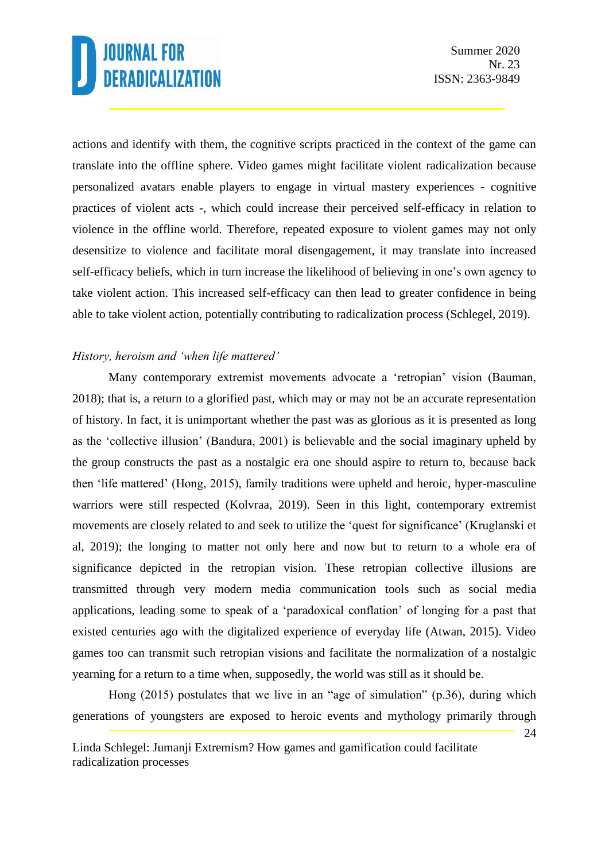actions and identify with them, the cognitive scripts practiced in the context of the game can translate into the offline sphere. Video games might facilitate violent radicalization because personalized avatars enable players to engage in virtual mastery experiences - cognitive practices of violent acts -, which could increase their perceived self-efficacy in relation to violence in the offline world. Therefore, repeated exposure to violent games may not only desensitize to violence and facilitate moral disengagement, it may translate into increased self-efficacy beliefs, which in turn increase the likelihood of believing in one's own agency to take violent action. This increased self-efficacy can then lead to greater confidence in being able to take violent action, potentially contributing to radicalization process (Schlegel, 2019).

#### *History, heroism and 'when life mattered'*

Many contemporary extremist movements advocate a 'retropian' vision (Bauman, 2018); that is, a return to a glorified past, which may or may not be an accurate representation of history. In fact, it is unimportant whether the past was as glorious as it is presented as long as the 'collective illusion' (Bandura, 2001) is believable and the social imaginary upheld by the group constructs the past as a nostalgic era one should aspire to return to, because back then 'life mattered' (Hong, 2015), family traditions were upheld and heroic, hyper-masculine warriors were still respected (Kolvraa, 2019). Seen in this light, contemporary extremist movements are closely related to and seek to utilize the 'quest for significance' (Kruglanski et al, 2019); the longing to matter not only here and now but to return to a whole era of significance depicted in the retropian vision. These retropian collective illusions are transmitted through very modern media communication tools such as social media applications, leading some to speak of a 'paradoxical conflation' of longing for a past that existed centuries ago with the digitalized experience of everyday life (Atwan, 2015). Video games too can transmit such retropian visions and facilitate the normalization of a nostalgic yearning for a return to a time when, supposedly, the world was still as it should be.

Hong (2015) postulates that we live in an "age of simulation" (p.36), during which generations of youngsters are exposed to heroic events and mythology primarily through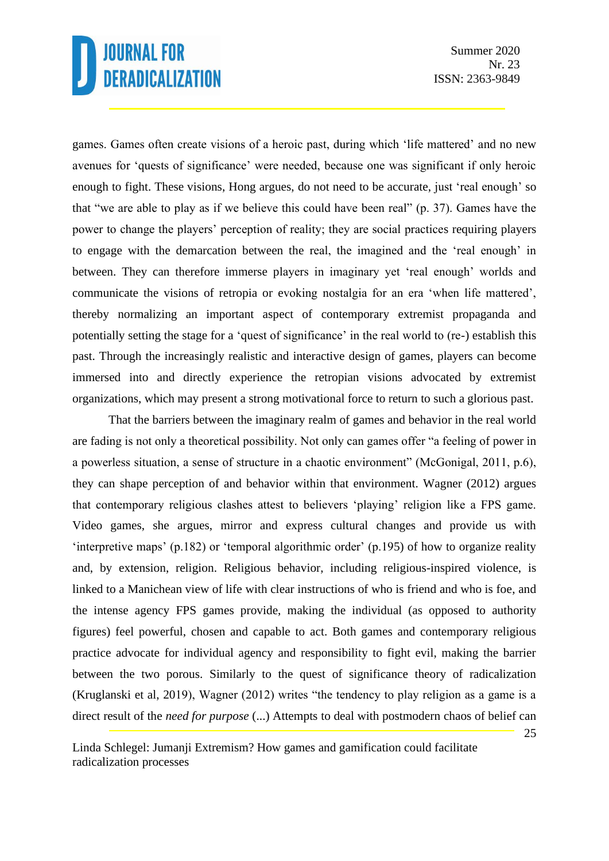Summer 2020 Nr. 23 ISSN: 2363-9849

games. Games often create visions of a heroic past, during which 'life mattered' and no new avenues for 'quests of significance' were needed, because one was significant if only heroic enough to fight. These visions, Hong argues, do not need to be accurate, just 'real enough' so that "we are able to play as if we believe this could have been real" (p. 37). Games have the power to change the players' perception of reality; they are social practices requiring players to engage with the demarcation between the real, the imagined and the 'real enough' in between. They can therefore immerse players in imaginary yet 'real enough' worlds and communicate the visions of retropia or evoking nostalgia for an era 'when life mattered', thereby normalizing an important aspect of contemporary extremist propaganda and potentially setting the stage for a 'quest of significance' in the real world to (re-) establish this past. Through the increasingly realistic and interactive design of games, players can become immersed into and directly experience the retropian visions advocated by extremist organizations, which may present a strong motivational force to return to such a glorious past.

That the barriers between the imaginary realm of games and behavior in the real world are fading is not only a theoretical possibility. Not only can games offer "a feeling of power in a powerless situation, a sense of structure in a chaotic environment" (McGonigal, 2011, p.6), they can shape perception of and behavior within that environment. Wagner (2012) argues that contemporary religious clashes attest to believers 'playing' religion like a FPS game. Video games, she argues, mirror and express cultural changes and provide us with 'interpretive maps' (p.182) or 'temporal algorithmic order' (p.195) of how to organize reality and, by extension, religion. Religious behavior, including religious-inspired violence, is linked to a Manichean view of life with clear instructions of who is friend and who is foe, and the intense agency FPS games provide, making the individual (as opposed to authority figures) feel powerful, chosen and capable to act. Both games and contemporary religious practice advocate for individual agency and responsibility to fight evil, making the barrier between the two porous. Similarly to the quest of significance theory of radicalization (Kruglanski et al, 2019), Wagner (2012) writes "the tendency to play religion as a game is a direct result of the *need for purpose* (...) Attempts to deal with postmodern chaos of belief can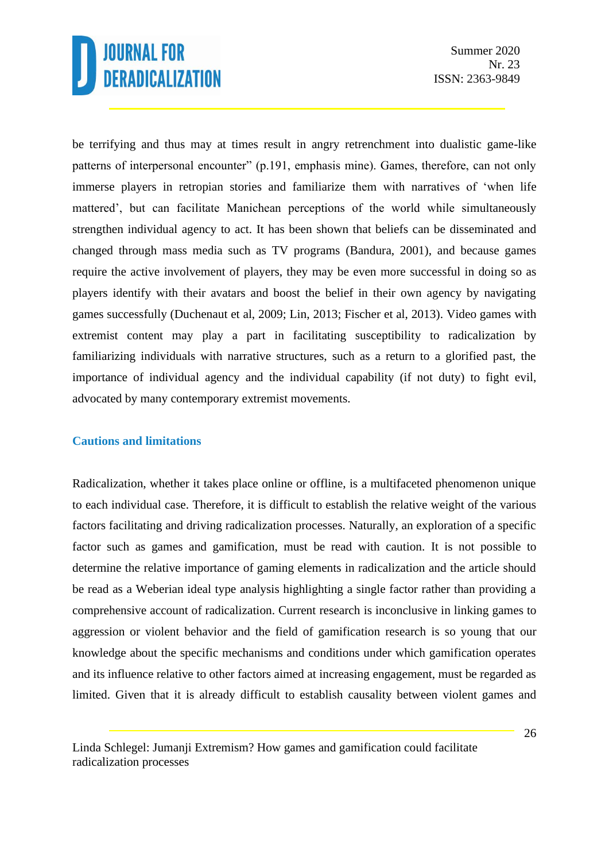be terrifying and thus may at times result in angry retrenchment into dualistic game-like patterns of interpersonal encounter" (p.191, emphasis mine). Games, therefore, can not only immerse players in retropian stories and familiarize them with narratives of 'when life mattered', but can facilitate Manichean perceptions of the world while simultaneously strengthen individual agency to act. It has been shown that beliefs can be disseminated and changed through mass media such as TV programs (Bandura, 2001), and because games require the active involvement of players, they may be even more successful in doing so as players identify with their avatars and boost the belief in their own agency by navigating games successfully (Duchenaut et al, 2009; Lin, 2013; Fischer et al, 2013). Video games with extremist content may play a part in facilitating susceptibility to radicalization by familiarizing individuals with narrative structures, such as a return to a glorified past, the importance of individual agency and the individual capability (if not duty) to fight evil, advocated by many contemporary extremist movements.

#### **Cautions and limitations**

Radicalization, whether it takes place online or offline, is a multifaceted phenomenon unique to each individual case. Therefore, it is difficult to establish the relative weight of the various factors facilitating and driving radicalization processes. Naturally, an exploration of a specific factor such as games and gamification, must be read with caution. It is not possible to determine the relative importance of gaming elements in radicalization and the article should be read as a Weberian ideal type analysis highlighting a single factor rather than providing a comprehensive account of radicalization. Current research is inconclusive in linking games to aggression or violent behavior and the field of gamification research is so young that our knowledge about the specific mechanisms and conditions under which gamification operates and its influence relative to other factors aimed at increasing engagement, must be regarded as limited. Given that it is already difficult to establish causality between violent games and

Linda Schlegel: Jumanji Extremism? How games and gamification could facilitate radicalization processes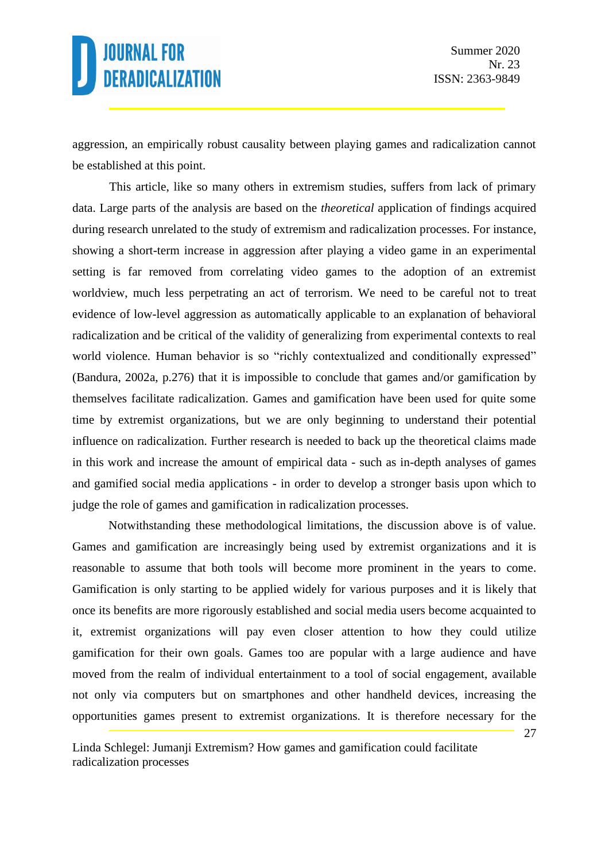aggression, an empirically robust causality between playing games and radicalization cannot be established at this point.

This article, like so many others in extremism studies, suffers from lack of primary data. Large parts of the analysis are based on the *theoretical* application of findings acquired during research unrelated to the study of extremism and radicalization processes. For instance, showing a short-term increase in aggression after playing a video game in an experimental setting is far removed from correlating video games to the adoption of an extremist worldview, much less perpetrating an act of terrorism. We need to be careful not to treat evidence of low-level aggression as automatically applicable to an explanation of behavioral radicalization and be critical of the validity of generalizing from experimental contexts to real world violence. Human behavior is so "richly contextualized and conditionally expressed" (Bandura, 2002a, p.276) that it is impossible to conclude that games and/or gamification by themselves facilitate radicalization. Games and gamification have been used for quite some time by extremist organizations, but we are only beginning to understand their potential influence on radicalization. Further research is needed to back up the theoretical claims made in this work and increase the amount of empirical data - such as in-depth analyses of games and gamified social media applications - in order to develop a stronger basis upon which to judge the role of games and gamification in radicalization processes.

Notwithstanding these methodological limitations, the discussion above is of value. Games and gamification are increasingly being used by extremist organizations and it is reasonable to assume that both tools will become more prominent in the years to come. Gamification is only starting to be applied widely for various purposes and it is likely that once its benefits are more rigorously established and social media users become acquainted to it, extremist organizations will pay even closer attention to how they could utilize gamification for their own goals. Games too are popular with a large audience and have moved from the realm of individual entertainment to a tool of social engagement, available not only via computers but on smartphones and other handheld devices, increasing the opportunities games present to extremist organizations. It is therefore necessary for the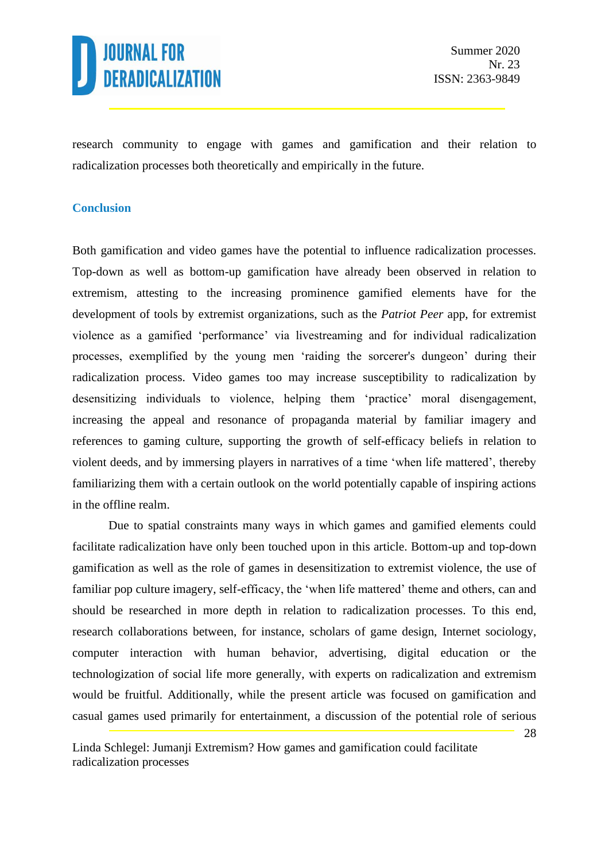

research community to engage with games and gamification and their relation to radicalization processes both theoretically and empirically in the future.

#### **Conclusion**

Both gamification and video games have the potential to influence radicalization processes. Top-down as well as bottom-up gamification have already been observed in relation to extremism, attesting to the increasing prominence gamified elements have for the development of tools by extremist organizations, such as the *Patriot Peer* app, for extremist violence as a gamified 'performance' via livestreaming and for individual radicalization processes, exemplified by the young men 'raiding the sorcerer's dungeon' during their radicalization process. Video games too may increase susceptibility to radicalization by desensitizing individuals to violence, helping them 'practice' moral disengagement, increasing the appeal and resonance of propaganda material by familiar imagery and references to gaming culture, supporting the growth of self-efficacy beliefs in relation to violent deeds, and by immersing players in narratives of a time 'when life mattered', thereby familiarizing them with a certain outlook on the world potentially capable of inspiring actions in the offline realm.

Due to spatial constraints many ways in which games and gamified elements could facilitate radicalization have only been touched upon in this article. Bottom-up and top-down gamification as well as the role of games in desensitization to extremist violence, the use of familiar pop culture imagery, self-efficacy, the 'when life mattered' theme and others, can and should be researched in more depth in relation to radicalization processes. To this end, research collaborations between, for instance, scholars of game design, Internet sociology, computer interaction with human behavior, advertising, digital education or the technologization of social life more generally, with experts on radicalization and extremism would be fruitful. Additionally, while the present article was focused on gamification and casual games used primarily for entertainment, a discussion of the potential role of serious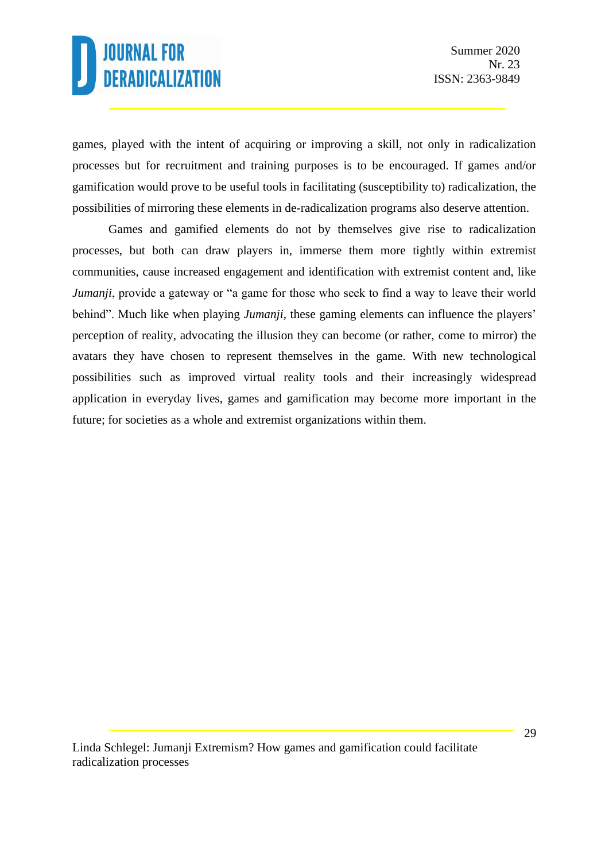games, played with the intent of acquiring or improving a skill, not only in radicalization processes but for recruitment and training purposes is to be encouraged. If games and/or gamification would prove to be useful tools in facilitating (susceptibility to) radicalization, the possibilities of mirroring these elements in de-radicalization programs also deserve attention.

Games and gamified elements do not by themselves give rise to radicalization processes, but both can draw players in, immerse them more tightly within extremist communities, cause increased engagement and identification with extremist content and, like *Jumanji*, provide a gateway or "a game for those who seek to find a way to leave their world behind". Much like when playing *Jumanji*, these gaming elements can influence the players' perception of reality, advocating the illusion they can become (or rather, come to mirror) the avatars they have chosen to represent themselves in the game. With new technological possibilities such as improved virtual reality tools and their increasingly widespread application in everyday lives, games and gamification may become more important in the future; for societies as a whole and extremist organizations within them.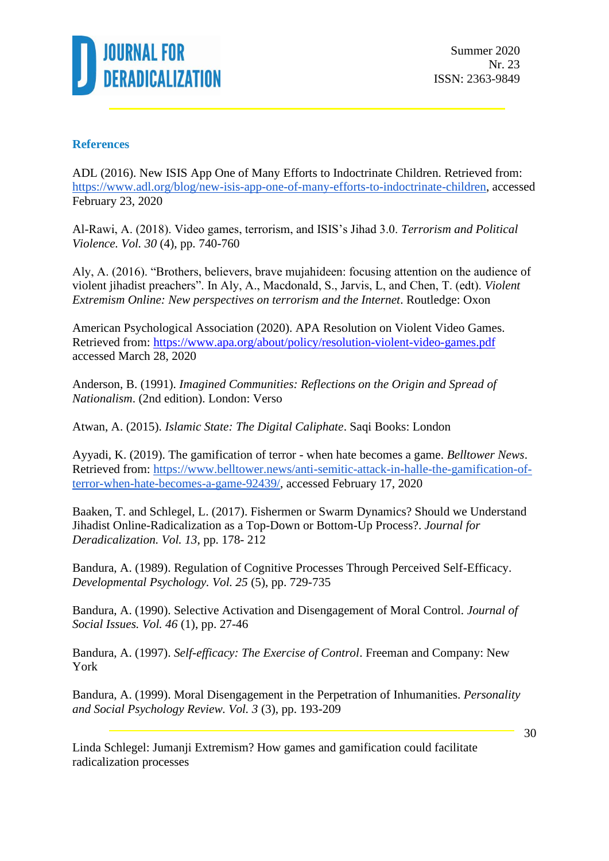

#### **References**

ADL (2016). New ISIS App One of Many Efforts to Indoctrinate Children. Retrieved from: [https://www.adl.org/blog/new-isis-app-one-of-many-efforts-to-indoctrinate-children,](https://www.adl.org/blog/new-isis-app-one-of-many-efforts-to-indoctrinate-children) accessed February 23, 2020

Al-Rawi, A. (2018). Video games, terrorism, and ISIS's Jihad 3.0. *Terrorism and Political Violence. Vol. 30* (4), pp. 740-760

Aly, A. (2016). "Brothers, believers, brave mujahideen: focusing attention on the audience of violent jihadist preachers". In Aly, A., Macdonald, S., Jarvis, L, and Chen, T. (edt). *Violent Extremism Online: New perspectives on terrorism and the Internet*. Routledge: Oxon

American Psychological Association (2020). APA Resolution on Violent Video Games. Retrieved from:<https://www.apa.org/about/policy/resolution-violent-video-games.pdf> accessed March 28, 2020

Anderson, B. (1991). *Imagined Communities: Reflections on the Origin and Spread of Nationalism*. (2nd edition). London: Verso

Atwan, A. (2015). *Islamic State: The Digital Caliphate*. Saqi Books: London

Ayyadi, K. (2019). The gamification of terror - when hate becomes a game. *Belltower News*. Retrieved from: [https://www.belltower.news/anti-semitic-attack-in-halle-the-gamification-of](https://www.belltower.news/anti-semitic-attack-in-halle-the-gamification-of-terror-when-hate-becomes-a-game-92439/)[terror-when-hate-becomes-a-game-92439/,](https://www.belltower.news/anti-semitic-attack-in-halle-the-gamification-of-terror-when-hate-becomes-a-game-92439/) accessed February 17, 2020

Baaken, T. and Schlegel, L. (2017). Fishermen or Swarm Dynamics? Should we Understand Jihadist Online-Radicalization as a Top-Down or Bottom-Up Process?. *Journal for Deradicalization. Vol. 13*, pp. 178- 212

Bandura, A. (1989). Regulation of Cognitive Processes Through Perceived Self-Efficacy. *Developmental Psychology. Vol. 25* (5), pp. 729-735

Bandura, A. (1990). Selective Activation and Disengagement of Moral Control. *Journal of Social Issues. Vol. 46* (1), pp. 27-46

Bandura, A. (1997). *Self-efficacy: The Exercise of Control*. Freeman and Company: New York

Bandura, A. (1999). Moral Disengagement in the Perpetration of Inhumanities. *Personality and Social Psychology Review. Vol. 3* (3), pp. 193-209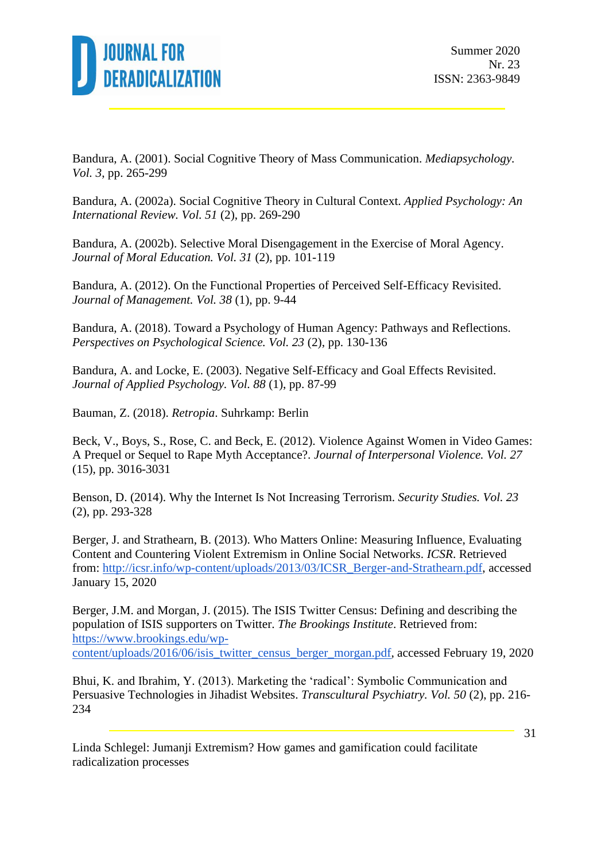

Bandura, A. (2001). Social Cognitive Theory of Mass Communication. *Mediapsychology. Vol. 3*, pp. 265-299

Bandura, A. (2002a). Social Cognitive Theory in Cultural Context. *Applied Psychology: An International Review. Vol. 51* (2), pp. 269-290

Bandura, A. (2002b). Selective Moral Disengagement in the Exercise of Moral Agency. *Journal of Moral Education. Vol. 31* (2), pp. 101-119

Bandura, A. (2012). On the Functional Properties of Perceived Self-Efficacy Revisited. *Journal of Management. Vol. 38* (1), pp. 9-44

Bandura, A. (2018). Toward a Psychology of Human Agency: Pathways and Reflections. *Perspectives on Psychological Science. Vol. 23* (2), pp. 130-136

Bandura, A. and Locke, E. (2003). Negative Self-Efficacy and Goal Effects Revisited. *Journal of Applied Psychology. Vol. 88* (1), pp. 87-99

Bauman, Z. (2018). *Retropia*. Suhrkamp: Berlin

Beck, V., Boys, S., Rose, C. and Beck, E. (2012). Violence Against Women in Video Games: A Prequel or Sequel to Rape Myth Acceptance?. *Journal of Interpersonal Violence. Vol. 27* (15), pp. 3016-3031

Benson, D. (2014). Why the Internet Is Not Increasing Terrorism. *Security Studies. Vol. 23* (2), pp. 293-328

Berger, J. and Strathearn, B. (2013). Who Matters Online: Measuring Influence, Evaluating Content and Countering Violent Extremism in Online Social Networks. *ICSR*. Retrieved from: [http://icsr.info/wp-content/uploads/2013/03/ICSR\\_Berger-and-Strathearn.pdf,](http://icsr.info/wp-content/uploads/2013/03/ICSR_Berger-and-Strathearn.pdf) accessed January 15, 2020

Berger, J.M. and Morgan, J. (2015). The ISIS Twitter Census: Defining and describing the population of ISIS supporters on Twitter. *The Brookings Institute*. Retrieved from: [https://www.brookings.edu/wp](https://www.brookings.edu/wp-content/uploads/2016/06/isis_twitter_census_berger_morgan.pdf)[content/uploads/2016/06/isis\\_twitter\\_census\\_berger\\_morgan.pdf,](https://www.brookings.edu/wp-content/uploads/2016/06/isis_twitter_census_berger_morgan.pdf) accessed February 19, 2020

Bhui, K. and Ibrahim, Y. (2013). Marketing the 'radical': Symbolic Communication and Persuasive Technologies in Jihadist Websites. *Transcultural Psychiatry. Vol. 50* (2), pp. 216- 234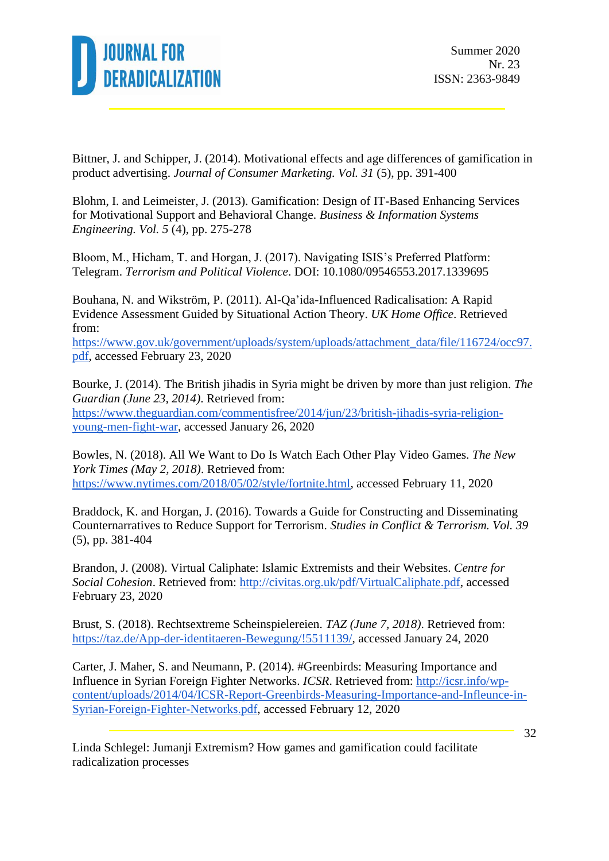

Bittner, J. and Schipper, J. (2014). Motivational effects and age differences of gamification in product advertising. *Journal of Consumer Marketing. Vol. 31* (5), pp. 391-400

Blohm, I. and Leimeister, J. (2013). Gamification: Design of IT-Based Enhancing Services for Motivational Support and Behavioral Change. *Business & Information Systems Engineering. Vol. 5* (4), pp. 275-278

Bloom, M., Hicham, T. and Horgan, J. (2017). Navigating ISIS's Preferred Platform: Telegram. *Terrorism and Political Violence*. DOI: 10.1080/09546553.2017.1339695

Bouhana, N. and Wikström, P. (2011). Al-Qa'ida-Influenced Radicalisation: A Rapid Evidence Assessment Guided by Situational Action Theory. *UK Home Office*. Retrieved from:

[https://www.gov.uk/government/uploads/system/uploads/attachment\\_data/file/116724/occ97.](https://www.gov.uk/government/uploads/system/uploads/attachment_data/file/116724/occ97.pdf) [pdf,](https://www.gov.uk/government/uploads/system/uploads/attachment_data/file/116724/occ97.pdf) accessed February 23, 2020

Bourke, J. (2014). The British jihadis in Syria might be driven by more than just religion. *The Guardian (June 23, 2014)*. Retrieved from: [https://www.theguardian.com/commentisfree/2014/jun/23/british-jihadis-syria-religion](https://www.theguardian.com/commentisfree/2014/jun/23/british-jihadis-syria-religion-young-men-fight-war)[young-men-fight-war,](https://www.theguardian.com/commentisfree/2014/jun/23/british-jihadis-syria-religion-young-men-fight-war) accessed January 26, 2020

Bowles, N. (2018). All We Want to Do Is Watch Each Other Play Video Games. *The New York Times (May 2, 2018)*. Retrieved from: [https://www.nytimes.com/2018/05/02/style/fortnite.html,](https://www.nytimes.com/2018/05/02/style/fortnite.html) accessed February 11, 2020

Braddock, K. and Horgan, J. (2016). Towards a Guide for Constructing and Disseminating Counternarratives to Reduce Support for Terrorism. *Studies in Conflict & Terrorism. Vol. 39* (5), pp. 381-404

Brandon, J. (2008). Virtual Caliphate: Islamic Extremists and their Websites. *Centre for Social Cohesion*. Retrieved from: [http://civitas.org.uk/pdf/VirtualCaliphate.pdf,](http://civitas.org.uk/pdf/VirtualCaliphate.pdf) accessed February 23, 2020

Brust, S. (2018). Rechtsextreme Scheinspielereien. *TAZ (June 7, 2018)*. Retrieved from: [https://taz.de/App-der-identitaeren-Bewegung/!5511139/,](https://taz.de/App-der-identitaeren-Bewegung/!5511139/) accessed January 24, 2020

Carter, J. Maher, S. and Neumann, P. (2014). #Greenbirds: Measuring Importance and Influence in Syrian Foreign Fighter Networks. *ICSR*. Retrieved from: [http://icsr.info/wp](http://icsr.info/wp-content/uploads/2014/04/ICSR-Report-Greenbirds-Measuring-Importance-and-Infleunce-in-Syrian-Foreign-Fighter-Networks.pdf)[content/uploads/2014/04/ICSR-Report-Greenbirds-Measuring-Importance-and-Infleunce-in-](http://icsr.info/wp-content/uploads/2014/04/ICSR-Report-Greenbirds-Measuring-Importance-and-Infleunce-in-Syrian-Foreign-Fighter-Networks.pdf)[Syrian-Foreign-Fighter-Networks.pdf,](http://icsr.info/wp-content/uploads/2014/04/ICSR-Report-Greenbirds-Measuring-Importance-and-Infleunce-in-Syrian-Foreign-Fighter-Networks.pdf) accessed February 12, 2020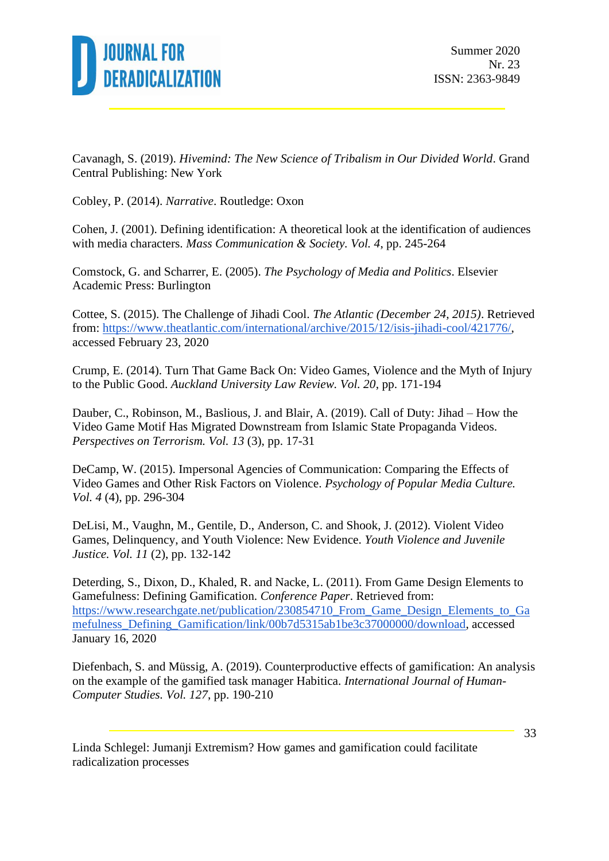

Cavanagh, S. (2019). *Hivemind: The New Science of Tribalism in Our Divided World*. Grand Central Publishing: New York

Cobley, P. (2014). *Narrative*. Routledge: Oxon

Cohen, J. (2001). Defining identification: A theoretical look at the identification of audiences with media characters. *Mass Communication & Society. Vol. 4*, pp. 245-264

Comstock, G. and Scharrer, E. (2005). *The Psychology of Media and Politics*. Elsevier Academic Press: Burlington

Cottee, S. (2015). The Challenge of Jihadi Cool. *The Atlantic (December 24, 2015)*. Retrieved from: [https://www.theatlantic.com/international/archive/2015/12/isis-jihadi-cool/421776/,](https://www.theatlantic.com/international/archive/2015/12/isis-jihadi-cool/421776/) accessed February 23, 2020

Crump, E. (2014). Turn That Game Back On: Video Games, Violence and the Myth of Injury to the Public Good. *Auckland University Law Review. Vol. 20*, pp. 171-194

Dauber, C., Robinson, M., Baslious, J. and Blair, A. (2019). Call of Duty: Jihad – How the Video Game Motif Has Migrated Downstream from Islamic State Propaganda Videos. *Perspectives on Terrorism. Vol. 13* (3), pp. 17-31

DeCamp, W. (2015). Impersonal Agencies of Communication: Comparing the Effects of Video Games and Other Risk Factors on Violence. *Psychology of Popular Media Culture. Vol. 4* (4), pp. 296-304

DeLisi, M., Vaughn, M., Gentile, D., Anderson, C. and Shook, J. (2012). Violent Video Games, Delinquency, and Youth Violence: New Evidence. *Youth Violence and Juvenile Justice. Vol. 11* (2), pp. 132-142

Deterding, S., Dixon, D., Khaled, R. and Nacke, L. (2011). From Game Design Elements to Gamefulness: Defining Gamification. *Conference Paper*. Retrieved from: [https://www.researchgate.net/publication/230854710\\_From\\_Game\\_Design\\_Elements\\_to\\_Ga](https://www.researchgate.net/publication/230854710_From_Game_Design_Elements_to_Gamefulness_Defining_Gamification/link/00b7d5315ab1be3c37000000/download) [mefulness\\_Defining\\_Gamification/link/00b7d5315ab1be3c37000000/download,](https://www.researchgate.net/publication/230854710_From_Game_Design_Elements_to_Gamefulness_Defining_Gamification/link/00b7d5315ab1be3c37000000/download) accessed January 16, 2020

Diefenbach, S. and Müssig, A. (2019). Counterproductive effects of gamification: An analysis on the example of the gamified task manager Habitica. *International Journal of Human-Computer Studies. Vol. 127*, pp. 190-210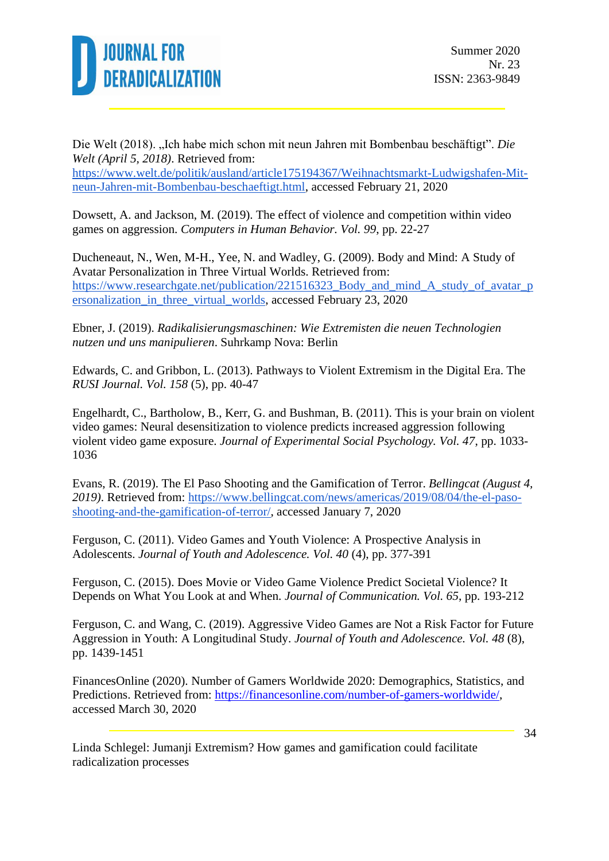

Die Welt (2018). "Ich habe mich schon mit neun Jahren mit Bombenbau beschäftigt". *Die Welt (April 5, 2018)*. Retrieved from: [https://www.welt.de/politik/ausland/article175194367/Weihnachtsmarkt-Ludwigshafen-Mit](https://www.welt.de/politik/ausland/article175194367/Weihnachtsmarkt-Ludwigshafen-Mit-neun-Jahren-mit-Bombenbau-beschaeftigt.html)[neun-Jahren-mit-Bombenbau-beschaeftigt.html,](https://www.welt.de/politik/ausland/article175194367/Weihnachtsmarkt-Ludwigshafen-Mit-neun-Jahren-mit-Bombenbau-beschaeftigt.html) accessed February 21, 2020

Dowsett, A. and Jackson, M. (2019). The effect of violence and competition within video games on aggression. *Computers in Human Behavior. Vol. 99*, pp. 22-27

Ducheneaut, N., Wen, M-H., Yee, N. and Wadley, G. (2009). Body and Mind: A Study of Avatar Personalization in Three Virtual Worlds. Retrieved from: [https://www.researchgate.net/publication/221516323\\_Body\\_and\\_mind\\_A\\_study\\_of\\_avatar\\_p](https://www.researchgate.net/publication/221516323_Body_and_mind_A_study_of_avatar_personalization_in_three_virtual_worlds) ersonalization in three virtual worlds, accessed February 23, 2020

Ebner, J. (2019). *Radikalisierungsmaschinen: Wie Extremisten die neuen Technologien nutzen und uns manipulieren*. Suhrkamp Nova: Berlin

Edwards, C. and Gribbon, L. (2013). Pathways to Violent Extremism in the Digital Era. The *RUSI Journal. Vol. 158* (5), pp. 40-47

Engelhardt, C., Bartholow, B., Kerr, G. and Bushman, B. (2011). This is your brain on violent video games: Neural desensitization to violence predicts increased aggression following violent video game exposure. *Journal of Experimental Social Psychology. Vol. 47*, pp. 1033- 1036

Evans, R. (2019). The El Paso Shooting and the Gamification of Terror. *Bellingcat (August 4, 2019)*. Retrieved from: [https://www.bellingcat.com/news/americas/2019/08/04/the-el-paso](https://www.bellingcat.com/news/americas/2019/08/04/the-el-paso-shooting-and-the-gamification-of-terror/)[shooting-and-the-gamification-of-terror/,](https://www.bellingcat.com/news/americas/2019/08/04/the-el-paso-shooting-and-the-gamification-of-terror/) accessed January 7, 2020

Ferguson, C. (2011). Video Games and Youth Violence: A Prospective Analysis in Adolescents. *Journal of Youth and Adolescence. Vol. 40* (4), pp. 377-391

Ferguson, C. (2015). Does Movie or Video Game Violence Predict Societal Violence? It Depends on What You Look at and When. *Journal of Communication. Vol. 65*, pp. 193-212

Ferguson, C. and Wang, C. (2019). Aggressive Video Games are Not a Risk Factor for Future Aggression in Youth: A Longitudinal Study. *Journal of Youth and Adolescence. Vol. 48* (8), pp. 1439-1451

FinancesOnline (2020). Number of Gamers Worldwide 2020: Demographics, Statistics, and Predictions. Retrieved from: [https://financesonline.com/number-of-gamers-worldwide/,](https://financesonline.com/number-of-gamers-worldwide/) accessed March 30, 2020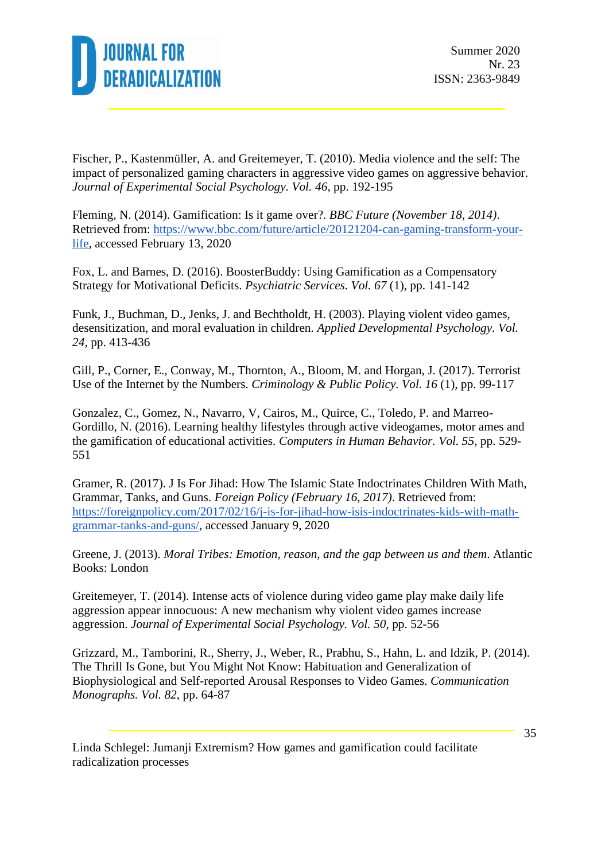

Fischer, P., Kastenmüller, A. and Greitemeyer, T. (2010). Media violence and the self: The impact of personalized gaming characters in aggressive video games on aggressive behavior. *Journal of Experimental Social Psychology. Vol. 46*, pp. 192-195

Fleming, N. (2014). Gamification: Is it game over?. *BBC Future (November 18, 2014)*. Retrieved from: [https://www.bbc.com/future/article/20121204-can-gaming-transform-your](https://www.bbc.com/future/article/20121204-can-gaming-transform-your-life)[life,](https://www.bbc.com/future/article/20121204-can-gaming-transform-your-life) accessed February 13, 2020

Fox, L. and Barnes, D. (2016). BoosterBuddy: Using Gamification as a Compensatory Strategy for Motivational Deficits. *Psychiatric Services. Vol. 67* (1), pp. 141-142

Funk, J., Buchman, D., Jenks, J. and Bechtholdt, H. (2003). Playing violent video games, desensitization, and moral evaluation in children. *Applied Developmental Psychology. Vol. 24*, pp. 413-436

Gill, P., Corner, E., Conway, M., Thornton, A., Bloom, M. and Horgan, J. (2017). Terrorist Use of the Internet by the Numbers. *Criminology & Public Policy. Vol. 16* (1), pp. 99-117

Gonzalez, C., Gomez, N., Navarro, V, Cairos, M., Quirce, C., Toledo, P. and Marreo-Gordillo, N. (2016). Learning healthy lifestyles through active videogames, motor ames and the gamification of educational activities. *Computers in Human Behavior. Vol. 55*, pp. 529- 551

Gramer, R. (2017). J Is For Jihad: How The Islamic State Indoctrinates Children With Math, Grammar, Tanks, and Guns. *Foreign Policy (February 16, 2017)*. Retrieved from: [https://foreignpolicy.com/2017/02/16/j-is-for-jihad-how-isis-indoctrinates-kids-with-math](https://foreignpolicy.com/2017/02/16/j-is-for-jihad-how-isis-indoctrinates-kids-with-math-grammar-tanks-and-guns/)[grammar-tanks-and-guns/,](https://foreignpolicy.com/2017/02/16/j-is-for-jihad-how-isis-indoctrinates-kids-with-math-grammar-tanks-and-guns/) accessed January 9, 2020

Greene, J. (2013). *Moral Tribes: Emotion, reason, and the gap between us and them*. Atlantic Books: London

Greitemeyer, T. (2014). Intense acts of violence during video game play make daily life aggression appear innocuous: A new mechanism why violent video games increase aggression. *Journal of Experimental Social Psychology. Vol. 50*, pp. 52-56

Grizzard, M., Tamborini, R., Sherry, J., Weber, R., Prabhu, S., Hahn, L. and Idzik, P. (2014). The Thrill Is Gone, but You Might Not Know: Habituation and Generalization of Biophysiological and Self-reported Arousal Responses to Video Games. *Communication Monographs. Vol. 82*, pp. 64-87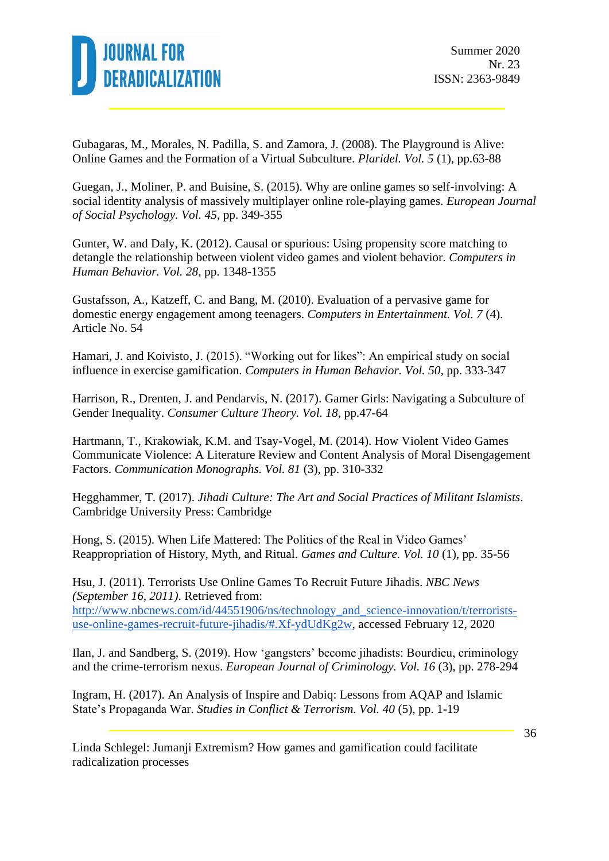

Gubagaras, M., Morales, N. Padilla, S. and Zamora, J. (2008). The Playground is Alive: Online Games and the Formation of a Virtual Subculture. *Plaridel. Vol. 5* (1), pp.63-88

Guegan, J., Moliner, P. and Buisine, S. (2015). Why are online games so self-involving: A social identity analysis of massively multiplayer online role-playing games. *European Journal of Social Psychology. Vol. 45*, pp. 349-355

Gunter, W. and Daly, K. (2012). Causal or spurious: Using propensity score matching to detangle the relationship between violent video games and violent behavior. *Computers in Human Behavior. Vol. 28*, pp. 1348-1355

Gustafsson, A., Katzeff, C. and Bang, M. (2010). Evaluation of a pervasive game for domestic energy engagement among teenagers. *Computers in Entertainment. Vol. 7* (4). Article No. 54

Hamari, J. and Koivisto, J. (2015). "Working out for likes": An empirical study on social influence in exercise gamification. *Computers in Human Behavior. Vol. 50*, pp. 333-347

Harrison, R., Drenten, J. and Pendarvis, N. (2017). Gamer Girls: Navigating a Subculture of Gender Inequality. *Consumer Culture Theory. Vol. 18*, pp.47-64

Hartmann, T., Krakowiak, K.M. and Tsay-Vogel, M. (2014). How Violent Video Games Communicate Violence: A Literature Review and Content Analysis of Moral Disengagement Factors. *Communication Monographs. Vol. 81* (3), pp. 310-332

Hegghammer, T. (2017). *Jihadi Culture: The Art and Social Practices of Militant Islamists*. Cambridge University Press: Cambridge

Hong, S. (2015). When Life Mattered: The Politics of the Real in Video Games' Reappropriation of History, Myth, and Ritual. *Games and Culture. Vol. 10* (1), pp. 35-56

Hsu, J. (2011). Terrorists Use Online Games To Recruit Future Jihadis. *NBC News (September 16, 2011)*. Retrieved from: [http://www.nbcnews.com/id/44551906/ns/technology\\_and\\_science-innovation/t/terrorists](http://www.nbcnews.com/id/44551906/ns/technology_and_science-innovation/t/terrorists-use-online-games-recruit-future-jihadis/#.Xf-ydUdKg2w)[use-online-games-recruit-future-jihadis/#.Xf-ydUdKg2w,](http://www.nbcnews.com/id/44551906/ns/technology_and_science-innovation/t/terrorists-use-online-games-recruit-future-jihadis/#.Xf-ydUdKg2w) accessed February 12, 2020

Ilan, J. and Sandberg, S. (2019). How 'gangsters' become jihadists: Bourdieu, criminology and the crime-terrorism nexus. *European Journal of Criminology. Vol. 16* (3), pp. 278-294

Ingram, H. (2017). An Analysis of Inspire and Dabiq: Lessons from AQAP and Islamic State's Propaganda War. *Studies in Conflict & Terrorism. Vol. 40* (5), pp. 1-19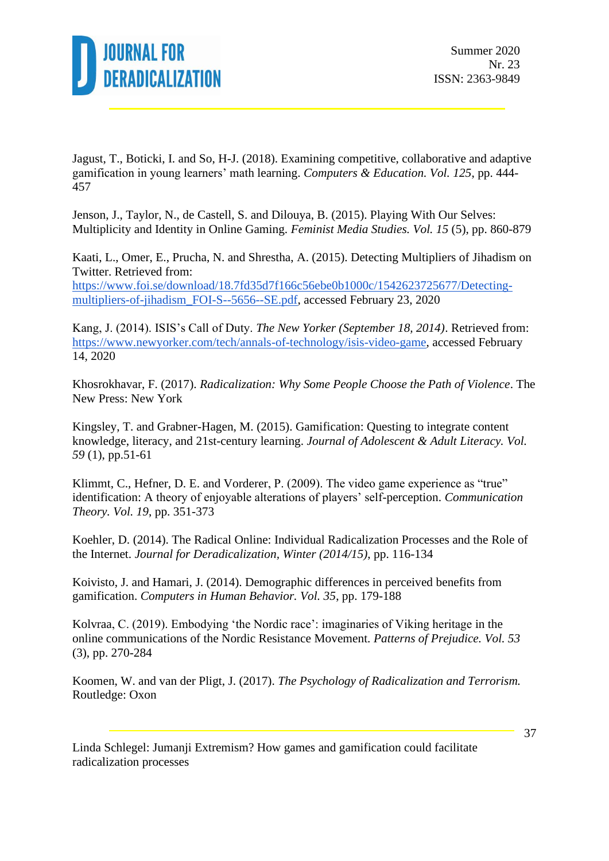

Jagust, T., Boticki, I. and So, H-J. (2018). Examining competitive, collaborative and adaptive gamification in young learners' math learning. *Computers & Education. Vol. 125*, pp. 444- 457

Jenson, J., Taylor, N., de Castell, S. and Dilouya, B. (2015). Playing With Our Selves: Multiplicity and Identity in Online Gaming. *Feminist Media Studies. Vol. 15* (5), pp. 860-879

Kaati, L., Omer, E., Prucha, N. and Shrestha, A. (2015). Detecting Multipliers of Jihadism on Twitter. Retrieved from: [https://www.foi.se/download/18.7fd35d7f166c56ebe0b1000c/1542623725677/Detecting](https://www.foi.se/download/18.7fd35d7f166c56ebe0b1000c/1542623725677/Detecting-multipliers-of-jihadism_FOI-S--5656--SE.pdf)[multipliers-of-jihadism\\_FOI-S--5656--SE.pdf,](https://www.foi.se/download/18.7fd35d7f166c56ebe0b1000c/1542623725677/Detecting-multipliers-of-jihadism_FOI-S--5656--SE.pdf) accessed February 23, 2020

Kang, J. (2014). ISIS's Call of Duty. *The New Yorker (September 18, 2014)*. Retrieved from: [https://www.newyorker.com/tech/annals-of-technology/isis-video-game,](https://www.newyorker.com/tech/annals-of-technology/isis-video-game) accessed February 14, 2020

Khosrokhavar, F. (2017). *Radicalization: Why Some People Choose the Path of Violence*. The New Press: New York

Kingsley, T. and Grabner-Hagen, M. (2015). Gamification: Questing to integrate content knowledge, literacy, and 21st-century learning. *Journal of Adolescent & Adult Literacy. Vol. 59* (1), pp.51-61

Klimmt, C., Hefner, D. E. and Vorderer, P. (2009). The video game experience as "true" identification: A theory of enjoyable alterations of players' self-perception. *Communication Theory. Vol. 19*, pp. 351-373

Koehler, D. (2014). The Radical Online: Individual Radicalization Processes and the Role of the Internet. *Journal for Deradicalization, Winter (2014/15)*, pp. 116-134

Koivisto, J. and Hamari, J. (2014). Demographic differences in perceived benefits from gamification. *Computers in Human Behavior. Vol. 35*, pp. 179-188

Kolvraa, C. (2019). Embodying 'the Nordic race': imaginaries of Viking heritage in the online communications of the Nordic Resistance Movement. *Patterns of Prejudice. Vol. 53* (3), pp. 270-284

Koomen, W. and van der Pligt, J. (2017). *The Psychology of Radicalization and Terrorism.* Routledge: Oxon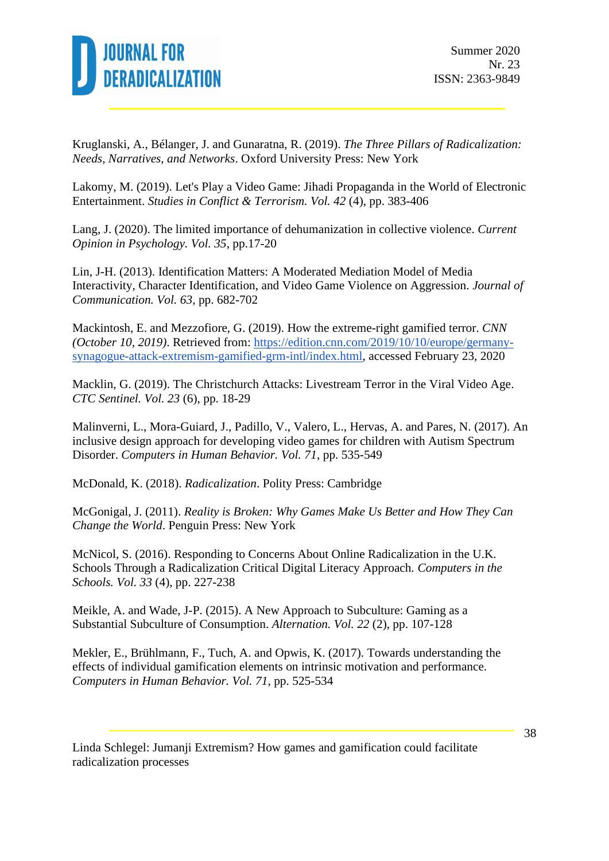

Kruglanski, A., Bélanger, J. and Gunaratna, R. (2019). *The Three Pillars of Radicalization: Needs, Narratives, and Networks*. Oxford University Press: New York

Lakomy, M. (2019). Let's Play a Video Game: Jihadi Propaganda in the World of Electronic Entertainment. *Studies in Conflict & Terrorism. Vol. 42* (4), pp. 383-406

Lang, J. (2020). The limited importance of dehumanization in collective violence. *Current Opinion in Psychology. Vol. 35*, pp.17-20

Lin, J-H. (2013). Identification Matters: A Moderated Mediation Model of Media Interactivity, Character Identification, and Video Game Violence on Aggression. *Journal of Communication. Vol. 63*, pp. 682-702

Mackintosh, E. and Mezzofiore, G. (2019). How the extreme-right gamified terror. *CNN (October 10, 2019)*. Retrieved from: [https://edition.cnn.com/2019/10/10/europe/germany](https://edition.cnn.com/2019/10/10/europe/germany-synagogue-attack-extremism-gamified-grm-intl/index.html)[synagogue-attack-extremism-gamified-grm-intl/index.html,](https://edition.cnn.com/2019/10/10/europe/germany-synagogue-attack-extremism-gamified-grm-intl/index.html) accessed February 23, 2020

Macklin, G. (2019). The Christchurch Attacks: Livestream Terror in the Viral Video Age. *CTC Sentinel. Vol. 23* (6), pp. 18-29

Malinverni, L., Mora-Guiard, J., Padillo, V., Valero, L., Hervas, A. and Pares, N. (2017). An inclusive design approach for developing video games for children with Autism Spectrum Disorder. *Computers in Human Behavior. Vol. 71*, pp. 535-549

McDonald, K. (2018). *Radicalization*. Polity Press: Cambridge

McGonigal, J. (2011). *Reality is Broken: Why Games Make Us Better and How They Can Change the World*. Penguin Press: New York

McNicol, S. (2016). Responding to Concerns About Online Radicalization in the U.K. Schools Through a Radicalization Critical Digital Literacy Approach. *Computers in the Schools. Vol. 33* (4), pp. 227-238

Meikle, A. and Wade, J-P. (2015). A New Approach to Subculture: Gaming as a Substantial Subculture of Consumption. *Alternation. Vol. 22* (2), pp. 107-128

Mekler, E., Brühlmann, F., Tuch, A. and Opwis, K. (2017). Towards understanding the effects of individual gamification elements on intrinsic motivation and performance. *Computers in Human Behavior. Vol. 71*, pp. 525-534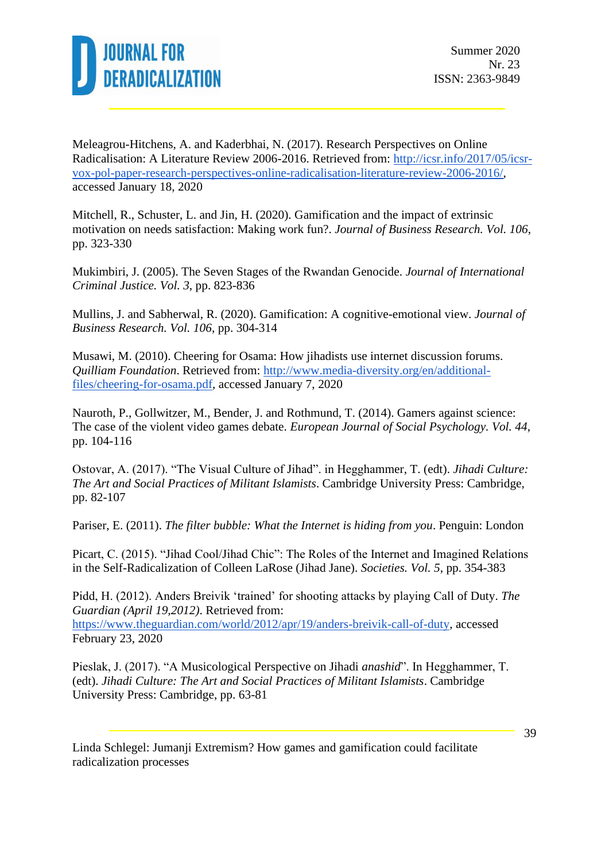

Meleagrou-Hitchens, A. and Kaderbhai, N. (2017). Research Perspectives on Online Radicalisation: A Literature Review 2006-2016. Retrieved from: [http://icsr.info/2017/05/icsr](http://icsr.info/2017/05/icsr-vox-pol-paper-research-perspectives-online-radicalisation-literature-review-2006-2016/)[vox-pol-paper-research-perspectives-online-radicalisation-literature-review-2006-2016/,](http://icsr.info/2017/05/icsr-vox-pol-paper-research-perspectives-online-radicalisation-literature-review-2006-2016/) accessed January 18, 2020

Mitchell, R., Schuster, L. and Jin, H. (2020). Gamification and the impact of extrinsic motivation on needs satisfaction: Making work fun?. *Journal of Business Research. Vol. 106*, pp. 323-330

Mukimbiri, J. (2005). The Seven Stages of the Rwandan Genocide. *Journal of International Criminal Justice. Vol. 3*, pp. 823-836

Mullins, J. and Sabherwal, R. (2020). Gamification: A cognitive-emotional view. *Journal of Business Research. Vol. 106*, pp. 304-314

Musawi, M. (2010). Cheering for Osama: How jihadists use internet discussion forums. *Quilliam Foundation*. Retrieved from: [http://www.media-diversity.org/en/additional](http://www.media-diversity.org/en/additional-files/cheering-for-osama.pdf)[files/cheering-for-osama.pdf,](http://www.media-diversity.org/en/additional-files/cheering-for-osama.pdf) accessed January 7, 2020

Nauroth, P., Gollwitzer, M., Bender, J. and Rothmund, T. (2014). Gamers against science: The case of the violent video games debate. *European Journal of Social Psychology. Vol. 44*, pp. 104-116

Ostovar, A. (2017). "The Visual Culture of Jihad". in Hegghammer, T. (edt). *Jihadi Culture: The Art and Social Practices of Militant Islamists*. Cambridge University Press: Cambridge, pp. 82-107

Pariser, E. (2011). *The filter bubble: What the Internet is hiding from you*. Penguin: London

Picart, C. (2015). "Jihad Cool/Jihad Chic": The Roles of the Internet and Imagined Relations in the Self-Radicalization of Colleen LaRose (Jihad Jane). *Societies. Vol. 5*, pp. 354-383

Pidd, H. (2012). Anders Breivik 'trained' for shooting attacks by playing Call of Duty. *The Guardian (April 19,2012)*. Retrieved from:

[https://www.theguardian.com/world/2012/apr/19/anders-breivik-call-of-duty,](https://www.theguardian.com/world/2012/apr/19/anders-breivik-call-of-duty) accessed February 23, 2020

Pieslak, J. (2017). "A Musicological Perspective on Jihadi *anashid*". In Hegghammer, T. (edt). *Jihadi Culture: The Art and Social Practices of Militant Islamists*. Cambridge University Press: Cambridge, pp. 63-81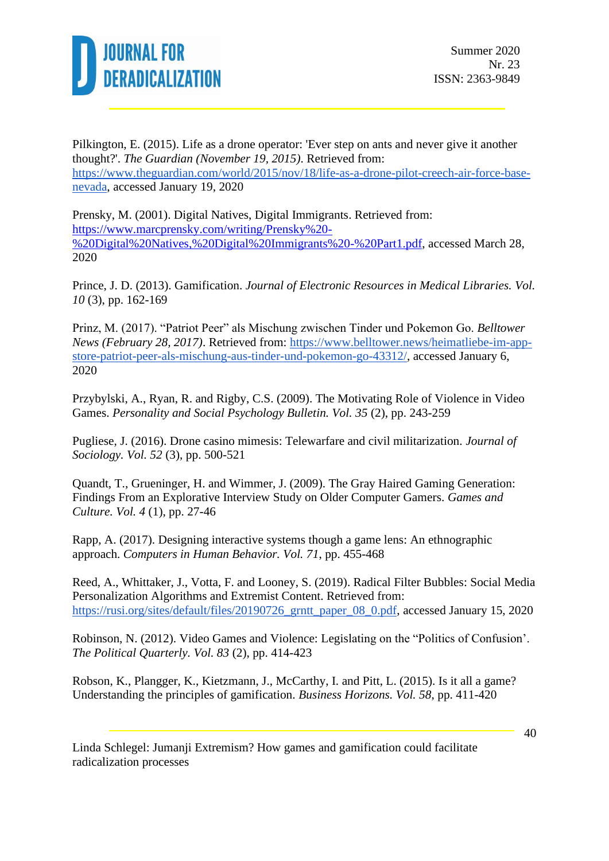

Pilkington, E. (2015). Life as a drone operator: 'Ever step on ants and never give it another thought?'. *The Guardian (November 19, 2015)*. Retrieved from: [https://www.theguardian.com/world/2015/nov/18/life-as-a-drone-pilot-creech-air-force-base](https://www.theguardian.com/world/2015/nov/18/life-as-a-drone-pilot-creech-air-force-base-nevada)[nevada,](https://www.theguardian.com/world/2015/nov/18/life-as-a-drone-pilot-creech-air-force-base-nevada) accessed January 19, 2020

Prensky, M. (2001). Digital Natives, Digital Immigrants. Retrieved from: [https://www.marcprensky.com/writing/Prensky%20-](https://www.marcprensky.com/writing/Prensky%20-%20Digital%20Natives,%20Digital%20Immigrants%20-%20Part1.pdf) [%20Digital%20Natives,%20Digital%20Immigrants%20-%20Part1.pdf,](https://www.marcprensky.com/writing/Prensky%20-%20Digital%20Natives,%20Digital%20Immigrants%20-%20Part1.pdf) accessed March 28, 2020

Prince, J. D. (2013). Gamification. *Journal of Electronic Resources in Medical Libraries. Vol. 10* (3), pp. 162-169

Prinz, M. (2017). "Patriot Peer" als Mischung zwischen Tinder und Pokemon Go. *Belltower News (February 28, 2017)*. Retrieved from: [https://www.belltower.news/heimatliebe-im-app](https://www.belltower.news/heimatliebe-im-app-store-patriot-peer-als-mischung-aus-tinder-und-pokemon-go-43312/)[store-patriot-peer-als-mischung-aus-tinder-und-pokemon-go-43312/,](https://www.belltower.news/heimatliebe-im-app-store-patriot-peer-als-mischung-aus-tinder-und-pokemon-go-43312/) accessed January 6, 2020

Przybylski, A., Ryan, R. and Rigby, C.S. (2009). The Motivating Role of Violence in Video Games. *Personality and Social Psychology Bulletin. Vol. 35* (2), pp. 243-259

Pugliese, J. (2016). Drone casino mimesis: Telewarfare and civil militarization. *Journal of Sociology. Vol. 52* (3), pp. 500-521

Quandt, T., Grueninger, H. and Wimmer, J. (2009). The Gray Haired Gaming Generation: Findings From an Explorative Interview Study on Older Computer Gamers. *Games and Culture. Vol. 4* (1), pp. 27-46

Rapp, A. (2017). Designing interactive systems though a game lens: An ethnographic approach. *Computers in Human Behavior. Vol. 71*, pp. 455-468

Reed, A., Whittaker, J., Votta, F. and Looney, S. (2019). Radical Filter Bubbles: Social Media Personalization Algorithms and Extremist Content. Retrieved from: [https://rusi.org/sites/default/files/20190726\\_grntt\\_paper\\_08\\_0.pdf,](https://rusi.org/sites/default/files/20190726_grntt_paper_08_0.pdf) accessed January 15, 2020

Robinson, N. (2012). Video Games and Violence: Legislating on the "Politics of Confusion'. *The Political Quarterly. Vol. 83* (2), pp. 414-423

Robson, K., Plangger, K., Kietzmann, J., McCarthy, I. and Pitt, L. (2015). Is it all a game? Understanding the principles of gamification. *Business Horizons. Vol. 58*, pp. 411-420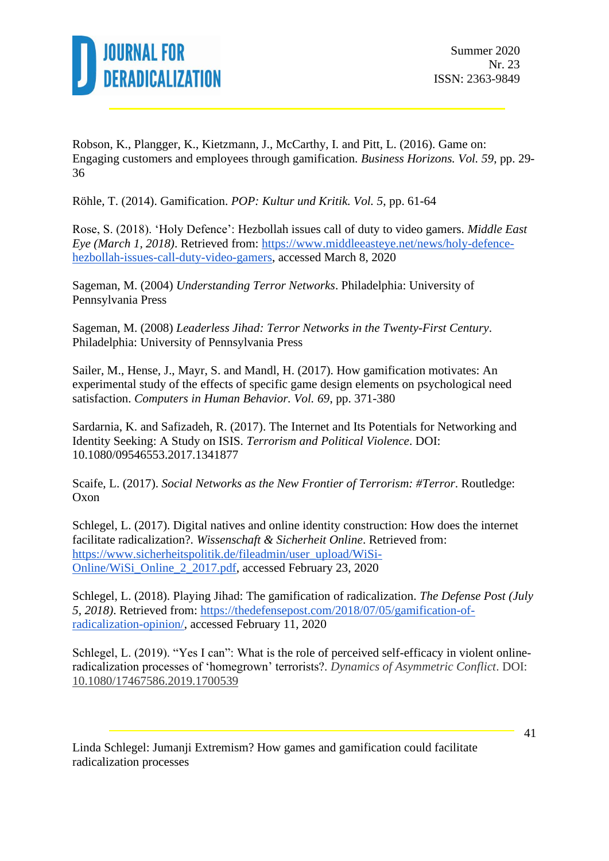

Robson, K., Plangger, K., Kietzmann, J., McCarthy, I. and Pitt, L. (2016). Game on: Engaging customers and employees through gamification. *Business Horizons. Vol. 59*, pp. 29- 36

Röhle, T. (2014). Gamification. *POP: Kultur und Kritik. Vol. 5*, pp. 61-64

Rose, S. (2018). 'Holy Defence': Hezbollah issues call of duty to video gamers. *Middle East Eye (March 1, 2018)*. Retrieved from: [https://www.middleeasteye.net/news/holy-defence](https://www.middleeasteye.net/news/holy-defence-hezbollah-issues-call-duty-video-gamers)[hezbollah-issues-call-duty-video-gamers,](https://www.middleeasteye.net/news/holy-defence-hezbollah-issues-call-duty-video-gamers) accessed March 8, 2020

Sageman, M. (2004) *Understanding Terror Networks*. Philadelphia: University of Pennsylvania Press

Sageman, M. (2008) *Leaderless Jihad: Terror Networks in the Twenty-First Century*. Philadelphia: University of Pennsylvania Press

Sailer, M., Hense, J., Mayr, S. and Mandl, H. (2017). How gamification motivates: An experimental study of the effects of specific game design elements on psychological need satisfaction. *Computers in Human Behavior. Vol. 69*, pp. 371-380

Sardarnia, K. and Safizadeh, R. (2017). The Internet and Its Potentials for Networking and Identity Seeking: A Study on ISIS. *Terrorism and Political Violence*. DOI: 10.1080/09546553.2017.1341877

Scaife, L. (2017). *Social Networks as the New Frontier of Terrorism: #Terror*. Routledge: Oxon

Schlegel, L. (2017). Digital natives and online identity construction: How does the internet facilitate radicalization?. *Wissenschaft & Sicherheit Online*. Retrieved from: [https://www.sicherheitspolitik.de/fileadmin/user\\_upload/WiSi-](https://www.sicherheitspolitik.de/fileadmin/user_upload/WiSi-Online/WiSi_Online_2_2017.pdf)[Online/WiSi\\_Online\\_2\\_2017.pdf,](https://www.sicherheitspolitik.de/fileadmin/user_upload/WiSi-Online/WiSi_Online_2_2017.pdf) accessed February 23, 2020

Schlegel, L. (2018). Playing Jihad: The gamification of radicalization. *The Defense Post (July 5, 2018)*. Retrieved from: [https://thedefensepost.com/2018/07/05/gamification-of](https://thedefensepost.com/2018/07/05/gamification-of-radicalization-opinion/)[radicalization-opinion/,](https://thedefensepost.com/2018/07/05/gamification-of-radicalization-opinion/) accessed February 11, 2020

Schlegel, L. (2019). "Yes I can": What is the role of perceived self-efficacy in violent onlineradicalization processes of 'homegrown' terrorists?. *Dynamics of Asymmetric Conflict*. DOI: [10.1080/17467586.2019.1700539](https://doi.org/10.1080/17467586.2019.1700539)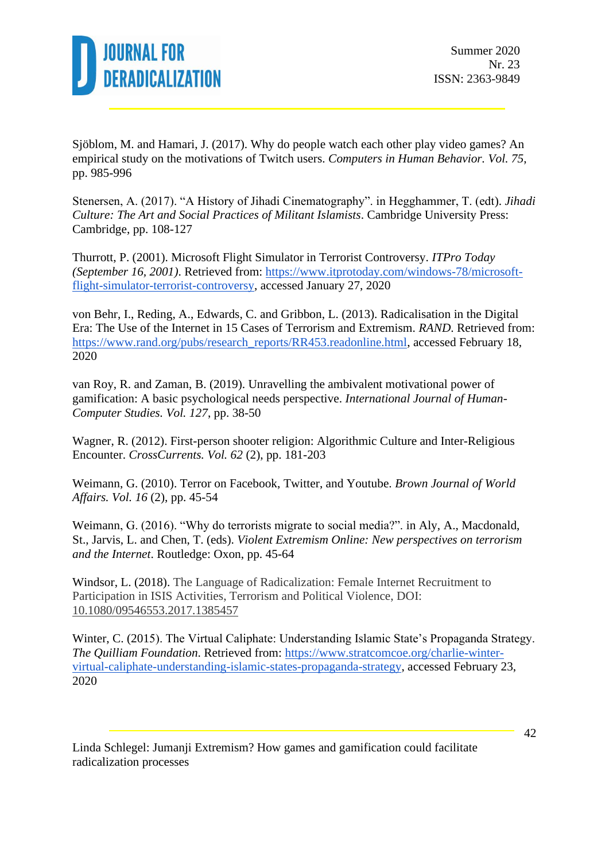

Sjöblom, M. and Hamari, J. (2017). Why do people watch each other play video games? An empirical study on the motivations of Twitch users. *Computers in Human Behavior. Vol. 75*, pp. 985-996

Stenersen, A. (2017). "A History of Jihadi Cinematography". in Hegghammer, T. (edt). *Jihadi Culture: The Art and Social Practices of Militant Islamists*. Cambridge University Press: Cambridge, pp. 108-127

Thurrott, P. (2001). Microsoft Flight Simulator in Terrorist Controversy. *ITPro Today (September 16, 2001)*. Retrieved from: [https://www.itprotoday.com/windows-78/microsoft](https://www.itprotoday.com/windows-78/microsoft-flight-simulator-terrorist-controversy)[flight-simulator-terrorist-controversy,](https://www.itprotoday.com/windows-78/microsoft-flight-simulator-terrorist-controversy) accessed January 27, 2020

von Behr, I., Reding, A., Edwards, C. and Gribbon, L. (2013). Radicalisation in the Digital Era: The Use of the Internet in 15 Cases of Terrorism and Extremism. *RAND*. Retrieved from: [https://www.rand.org/pubs/research\\_reports/RR453.readonline.html,](https://www.rand.org/pubs/research_reports/RR453.readonline.html) accessed February 18, 2020

van Roy, R. and Zaman, B. (2019). Unravelling the ambivalent motivational power of gamification: A basic psychological needs perspective. *International Journal of Human-Computer Studies. Vol. 127*, pp. 38-50

Wagner, R. (2012). First-person shooter religion: Algorithmic Culture and Inter-Religious Encounter. *CrossCurrents. Vol. 62* (2), pp. 181-203

Weimann, G. (2010). Terror on Facebook, Twitter, and Youtube. *Brown Journal of World Affairs. Vol. 16* (2), pp. 45-54

Weimann, G. (2016). "Why do terrorists migrate to social media?". in Aly, A., Macdonald, St., Jarvis, L. and Chen, T. (eds). *Violent Extremism Online: New perspectives on terrorism and the Internet*. Routledge: Oxon, pp. 45-64

Windsor, L. (2018). The Language of Radicalization: Female Internet Recruitment to Participation in ISIS Activities, Terrorism and Political Violence, DOI: [10.1080/09546553.2017.1385457](https://doi.org/10.1080/09546553.2017.1385457)

Winter, C. (2015). The Virtual Caliphate: Understanding Islamic State's Propaganda Strategy. *The Quilliam Foundation*. Retrieved from: [https://www.stratcomcoe.org/charlie-winter](https://www.stratcomcoe.org/charlie-winter-virtual-caliphate-understanding-islamic-states-propaganda-strategy)[virtual-caliphate-understanding-islamic-states-propaganda-strategy,](https://www.stratcomcoe.org/charlie-winter-virtual-caliphate-understanding-islamic-states-propaganda-strategy) accessed February 23, 2020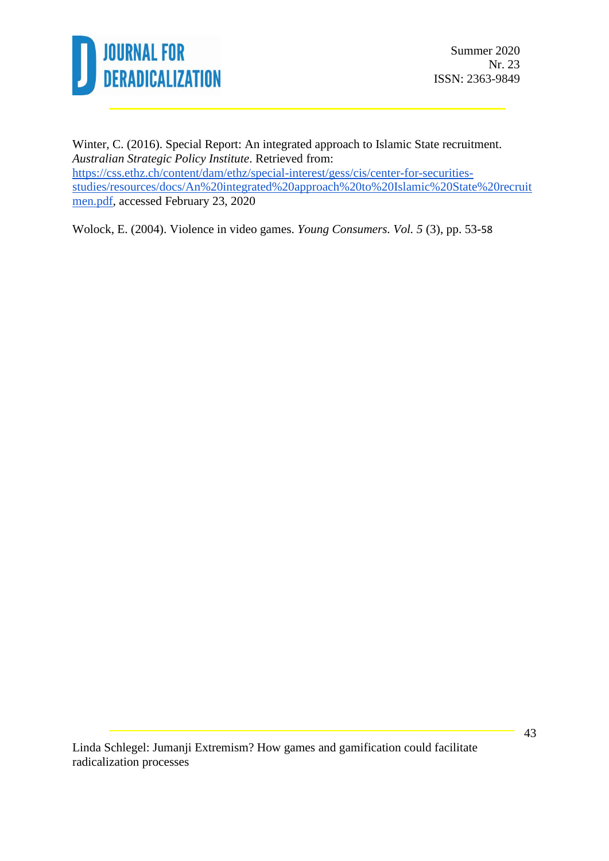

Winter, C. (2016). Special Report: An integrated approach to Islamic State recruitment. *Australian Strategic Policy Institute*. Retrieved from: [https://css.ethz.ch/content/dam/ethz/special-interest/gess/cis/center-for-securities](https://css.ethz.ch/content/dam/ethz/special-interest/gess/cis/center-for-securities-studies/resources/docs/An%20integrated%20approach%20to%20Islamic%20State%20recruitmen.pdf)[studies/resources/docs/An%20integrated%20approach%20to%20Islamic%20State%20recruit](https://css.ethz.ch/content/dam/ethz/special-interest/gess/cis/center-for-securities-studies/resources/docs/An%20integrated%20approach%20to%20Islamic%20State%20recruitmen.pdf) [men.pdf,](https://css.ethz.ch/content/dam/ethz/special-interest/gess/cis/center-for-securities-studies/resources/docs/An%20integrated%20approach%20to%20Islamic%20State%20recruitmen.pdf) accessed February 23, 2020

Wolock, E. (2004). Violence in video games. *Young Consumers. Vol. 5* (3), pp. 53-58